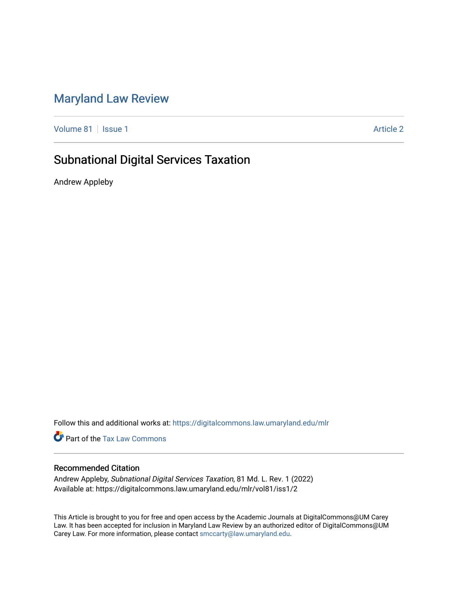# [Maryland Law Review](https://digitalcommons.law.umaryland.edu/mlr)

[Volume 81](https://digitalcommons.law.umaryland.edu/mlr/vol81) | [Issue 1](https://digitalcommons.law.umaryland.edu/mlr/vol81/iss1) Article 2

# Subnational Digital Services Taxation

Andrew Appleby

Follow this and additional works at: [https://digitalcommons.law.umaryland.edu/mlr](https://digitalcommons.law.umaryland.edu/mlr?utm_source=digitalcommons.law.umaryland.edu%2Fmlr%2Fvol81%2Fiss1%2F2&utm_medium=PDF&utm_campaign=PDFCoverPages)

**Part of the [Tax Law Commons](http://network.bepress.com/hgg/discipline/898?utm_source=digitalcommons.law.umaryland.edu%2Fmlr%2Fvol81%2Fiss1%2F2&utm_medium=PDF&utm_campaign=PDFCoverPages)** 

# Recommended Citation

Andrew Appleby, Subnational Digital Services Taxation, 81 Md. L. Rev. 1 (2022) Available at: https://digitalcommons.law.umaryland.edu/mlr/vol81/iss1/2

This Article is brought to you for free and open access by the Academic Journals at DigitalCommons@UM Carey Law. It has been accepted for inclusion in Maryland Law Review by an authorized editor of DigitalCommons@UM Carey Law. For more information, please contact [smccarty@law.umaryland.edu.](mailto:smccarty@law.umaryland.edu)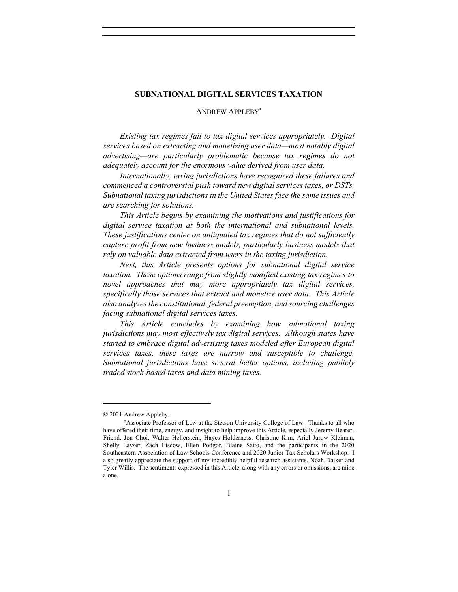## **SUBNATIONAL DIGITAL SERVICES TAXATION**

## ANDREW APPLEBY\*

*Existing tax regimes fail to tax digital services appropriately. Digital services based on extracting and monetizing user data—most notably digital advertising—are particularly problematic because tax regimes do not adequately account for the enormous value derived from user data.*

*Internationally, taxing jurisdictions have recognized these failures and commenced a controversial push toward new digital services taxes, or DSTs. Subnational taxing jurisdictions in the United States face the same issues and are searching for solutions.*

*This Article begins by examining the motivations and justifications for digital service taxation at both the international and subnational levels. These justifications center on antiquated tax regimes that do not sufficiently capture profit from new business models, particularly business models that rely on valuable data extracted from users in the taxing jurisdiction.*

*Next, this Article presents options for subnational digital service taxation. These options range from slightly modified existing tax regimes to novel approaches that may more appropriately tax digital services, specifically those services that extract and monetize user data. This Article also analyzes the constitutional, federal preemption, and sourcing challenges facing subnational digital services taxes.*

*This Article concludes by examining how subnational taxing jurisdictions may most effectively tax digital services. Although states have started to embrace digital advertising taxes modeled after European digital services taxes, these taxes are narrow and susceptible to challenge. Subnational jurisdictions have several better options, including publicly traded stock-based taxes and data mining taxes.*

<sup>© 2021</sup> Andrew Appleby.

<sup>\*</sup>Associate Professor of Law at the Stetson University College of Law. Thanks to all who have offered their time, energy, and insight to help improve this Article, especially Jeremy Bearer-Friend, Jon Choi, Walter Hellerstein, Hayes Holderness, Christine Kim, Ariel Jurow Kleiman, Shelly Layser, Zach Liscow, Ellen Podgor, Blaine Saito, and the participants in the 2020 Southeastern Association of Law Schools Conference and 2020 Junior Tax Scholars Workshop. I also greatly appreciate the support of my incredibly helpful research assistants, Noah Daiker and Tyler Willis. The sentiments expressed in this Article, along with any errors or omissions, are mine alone.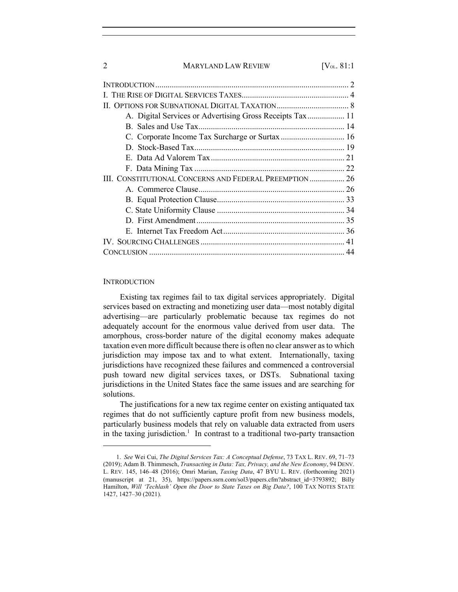| A. Digital Services or Advertising Gross Receipts Tax 11 |
|----------------------------------------------------------|
|                                                          |
|                                                          |
|                                                          |
|                                                          |
|                                                          |
| III. CONSTITUTIONAL CONCERNS AND FEDERAL PREEMPTION  26  |
|                                                          |
|                                                          |
|                                                          |
|                                                          |
|                                                          |
|                                                          |
|                                                          |
|                                                          |

#### **INTRODUCTION**

Existing tax regimes fail to tax digital services appropriately. Digital services based on extracting and monetizing user data—most notably digital advertising—are particularly problematic because tax regimes do not adequately account for the enormous value derived from user data. The amorphous, cross-border nature of the digital economy makes adequate taxation even more difficult because there is often no clear answer as to which jurisdiction may impose tax and to what extent. Internationally, taxing jurisdictions have recognized these failures and commenced a controversial push toward new digital services taxes, or DSTs. Subnational taxing jurisdictions in the United States face the same issues and are searching for solutions.

The justifications for a new tax regime center on existing antiquated tax regimes that do not sufficiently capture profit from new business models, particularly business models that rely on valuable data extracted from users in the taxing jurisdiction.<sup>1</sup> In contrast to a traditional two-party transaction

<sup>1.</sup> *See* Wei Cui, *The Digital Services Tax: A Conceptual Defense*, 73 TAX L. REV. 69, 71–73 (2019); Adam B. Thimmesch, *Transacting in Data: Tax, Privacy, and the New Economy*, 94 DENV. L. REV. 145, 146–48 (2016); Omri Marian, *Taxing Data*, 47 BYU L. REV. (forthcoming 2021) (manuscript at 21, 35), https://papers.ssrn.com/sol3/papers.cfm?abstract\_id=3793892; Billy Hamilton, *Will 'Techlash' Open the Door to State Taxes on Big Data?*, 100 TAX NOTES STATE 1427, 1427–30 (2021).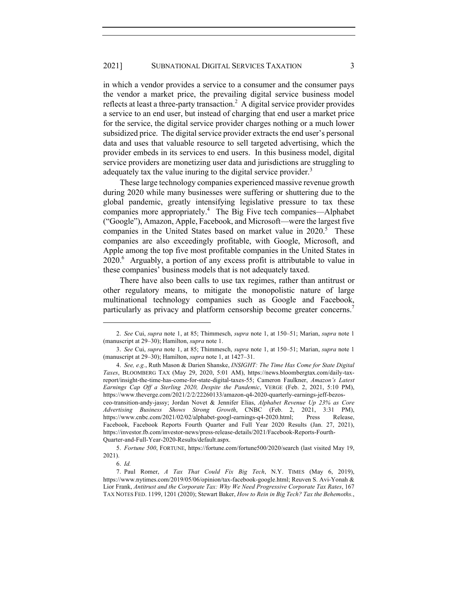in which a vendor provides a service to a consumer and the consumer pays the vendor a market price, the prevailing digital service business model reflects at least a three-party transaction.<sup>2</sup> A digital service provider provides a service to an end user, but instead of charging that end user a market price for the service, the digital service provider charges nothing or a much lower subsidized price. The digital service provider extracts the end user's personal data and uses that valuable resource to sell targeted advertising, which the provider embeds in its services to end users. In this business model, digital service providers are monetizing user data and jurisdictions are struggling to adequately tax the value inuring to the digital service provider.<sup>3</sup>

These large technology companies experienced massive revenue growth during 2020 while many businesses were suffering or shuttering due to the global pandemic, greatly intensifying legislative pressure to tax these companies more appropriately.4 The Big Five tech companies—Alphabet ("Google"), Amazon, Apple, Facebook, and Microsoft—were the largest five companies in the United States based on market value in 2020.<sup>5</sup> These companies are also exceedingly profitable, with Google, Microsoft, and Apple among the top five most profitable companies in the United States in 2020.<sup>6</sup> Arguably, a portion of any excess profit is attributable to value in these companies' business models that is not adequately taxed.

There have also been calls to use tax regimes, rather than antitrust or other regulatory means, to mitigate the monopolistic nature of large multinational technology companies such as Google and Facebook, particularly as privacy and platform censorship become greater concerns.<sup>7</sup>

Quarter-and-Full-Year-2020-Results/default.aspx.

5. *Fortune 500*, FORTUNE, https://fortune.com/fortune500/2020/search (last visited May 19, 2021).

<sup>2.</sup> *See* Cui, *supra* note 1, at 85; Thimmesch, *supra* note 1, at 150–51; Marian, *supra* note 1 (manuscript at 29–30); Hamilton, *supra* note 1.

<sup>3.</sup> *See* Cui, *supra* note 1, at 85; Thimmesch, *supra* note 1, at 150–51; Marian, *supra* note 1 (manuscript at 29–30); Hamilton, *supra* note 1, at 1427–31.

<sup>4.</sup> *See, e.g.*, Ruth Mason & Darien Shanske, *INSIGHT: The Time Has Come for State Digital Taxes*, BLOOMBERG TAX (May 29, 2020, 5:01 AM), https://news.bloombergtax.com/daily-taxreport/insight-the-time-has-come-for-state-digital-taxes-55; Cameron Faulkner, *Amazon's Latest Earnings Cap Off a Sterling 2020, Despite the Pandemic*, VERGE (Feb. 2, 2021, 5:10 PM), https://www.theverge.com/2021/2/2/22260133/amazon-q4-2020-quarterly-earnings-jeff-bezosceo-transition-andy-jassy; Jordan Novet & Jennifer Elias, *Alphabet Revenue Up 23% as Core Advertising Business Shows Strong Growth*, CNBC (Feb. 2, 2021, 3:31 PM), https://www.cnbc.com/2021/02/02/alphabet-googl-earnings-q4-2020.html; Press Release, Facebook, Facebook Reports Fourth Quarter and Full Year 2020 Results (Jan. 27, 2021), https://investor.fb.com/investor-news/press-release-details/2021/Facebook-Reports-Fourth-

<sup>6.</sup> *Id.*

<sup>7.</sup> Paul Romer, *A Tax That Could Fix Big Tech*, N.Y. TIMES (May 6, 2019), https://www.nytimes.com/2019/05/06/opinion/tax-facebook-google.html; Reuven S. Avi-Yonah & Lior Frank, *Antitrust and the Corporate Tax: Why We Need Progressive Corporate Tax Rates*, 167 TAX NOTES FED. 1199, 1201 (2020); Stewart Baker, *How to Rein in Big Tech? Tax the Behemoths.*,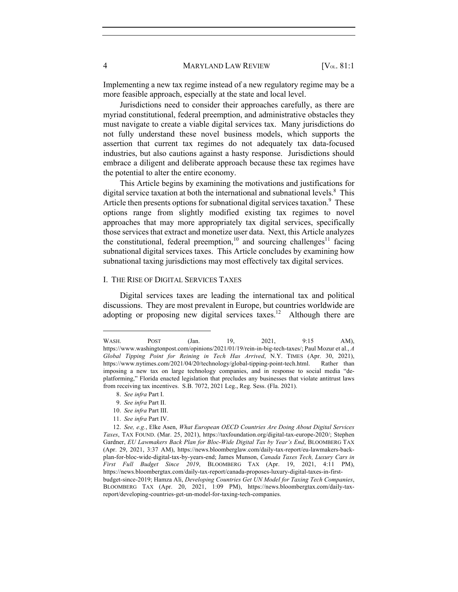Implementing a new tax regime instead of a new regulatory regime may be a more feasible approach, especially at the state and local level.

Jurisdictions need to consider their approaches carefully, as there are myriad constitutional, federal preemption, and administrative obstacles they must navigate to create a viable digital services tax. Many jurisdictions do not fully understand these novel business models, which supports the assertion that current tax regimes do not adequately tax data-focused industries, but also cautions against a hasty response. Jurisdictions should embrace a diligent and deliberate approach because these tax regimes have the potential to alter the entire economy.

This Article begins by examining the motivations and justifications for digital service taxation at both the international and subnational levels.<sup>8</sup> This Article then presents options for subnational digital services taxation.<sup>9</sup> These options range from slightly modified existing tax regimes to novel approaches that may more appropriately tax digital services, specifically those services that extract and monetize user data. Next, this Article analyzes the constitutional, federal preemption,<sup>10</sup> and sourcing challenges<sup>11</sup> facing subnational digital services taxes. This Article concludes by examining how subnational taxing jurisdictions may most effectively tax digital services.

## I. THE RISE OF DIGITAL SERVICES TAXES

Digital services taxes are leading the international tax and political discussions. They are most prevalent in Europe, but countries worldwide are adopting or proposing new digital services taxes.<sup>12</sup> Although there are

9. *See infra* Part II.

11. *See infra* Part IV.

WASH. POST (Jan. 19, 2021, 9:15 AM), https://www.washingtonpost.com/opinions/2021/01/19/rein-in-big-tech-taxes/; Paul Mozur et al., *A Global Tipping Point for Reining in Tech Has Arrived*, N.Y. TIMES (Apr. 30, 2021), https://www.nytimes.com/2021/04/20/technology/global-tipping-point-tech.html. Rather than imposing a new tax on large technology companies, and in response to social media "deplatforming," Florida enacted legislation that precludes any businesses that violate antitrust laws from receiving tax incentives. S.B. 7072, 2021 Leg., Reg. Sess. (Fla. 2021).

<sup>8.</sup> *See infra* Part I.

<sup>10.</sup> *See infra* Part III.

<sup>12.</sup> *See, e.g.*, Elke Asen, *What European OECD Countries Are Doing About Digital Services Taxes*, TAX FOUND. (Mar. 25, 2021), https://taxfoundation.org/digital-tax-europe-2020/; Stephen Gardner, *EU Lawmakers Back Plan for Bloc-Wide Digital Tax by Year's End*, BLOOMBERG TAX (Apr. 29, 2021, 3:37 AM), https://news.bloomberglaw.com/daily-tax-report/eu-lawmakers-backplan-for-bloc-wide-digital-tax-by-years-end; James Munson, *Canada Taxes Tech, Luxury Cars in First Full Budget Since 2019*, BLOOMBERG TAX (Apr. 19, 2021, 4:11 PM), https://news.bloombergtax.com/daily-tax-report/canada-proposes-luxury-digital-taxes-in-firstbudget-since-2019; Hamza Ali, *Developing Countries Get UN Model for Taxing Tech Companies*, BLOOMBERG TAX (Apr. 20, 2021, 1:09 PM), https://news.bloombergtax.com/daily-taxreport/developing-countries-get-un-model-for-taxing-tech-companies.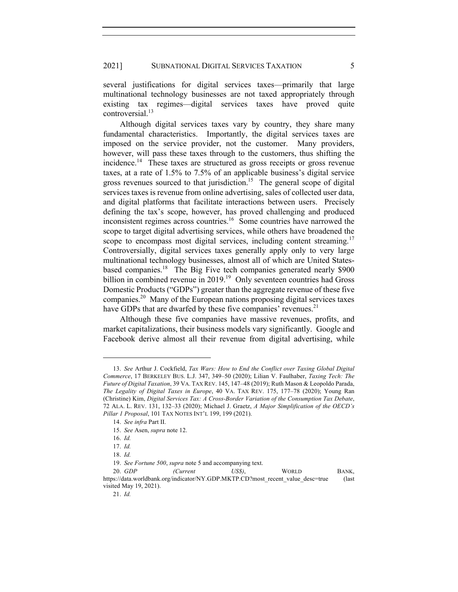several justifications for digital services taxes—primarily that large multinational technology businesses are not taxed appropriately through existing tax regimes—digital services taxes have proved quite controversial.<sup>13</sup>

Although digital services taxes vary by country, they share many fundamental characteristics. Importantly, the digital services taxes are imposed on the service provider, not the customer. Many providers, however, will pass these taxes through to the customers, thus shifting the incidence.<sup>14</sup> These taxes are structured as gross receipts or gross revenue taxes, at a rate of 1.5% to 7.5% of an applicable business's digital service gross revenues sourced to that jurisdiction.<sup>15</sup> The general scope of digital services taxes is revenue from online advertising, sales of collected user data, and digital platforms that facilitate interactions between users. Precisely defining the tax's scope, however, has proved challenging and produced inconsistent regimes across countries.<sup>16</sup> Some countries have narrowed the scope to target digital advertising services, while others have broadened the scope to encompass most digital services, including content streaming.<sup>17</sup> Controversially, digital services taxes generally apply only to very large multinational technology businesses, almost all of which are United Statesbased companies.18 The Big Five tech companies generated nearly \$900 billion in combined revenue in 2019.<sup>19</sup> Only seventeen countries had Gross Domestic Products ("GDPs") greater than the aggregate revenue of these five companies.20 Many of the European nations proposing digital services taxes have GDPs that are dwarfed by these five companies' revenues.<sup>21</sup>

Although these five companies have massive revenues, profits, and market capitalizations, their business models vary significantly. Google and Facebook derive almost all their revenue from digital advertising, while

<sup>13.</sup> *See* Arthur J. Cockfield, *Tax Wars: How to End the Conflict over Taxing Global Digital Commerce*, 17 BERKELEY BUS. L.J. 347, 349–50 (2020); Lilian V. Faulhaber, *Taxing Tech: The Future of Digital Taxation*, 39 VA. TAX REV. 145, 147–48 (2019); Ruth Mason & Leopoldo Parada, *The Legality of Digital Taxes in Europe*, 40 VA. TAX REV. 175, 177–78 (2020); Young Ran (Christine) Kim, *Digital Services Tax: A Cross-Border Variation of the Consumption Tax Debate*, 72 ALA. L. REV. 131, 132–33 (2020); Michael J. Graetz, *A Major Simplification of the OECD's Pillar 1 Proposal*, 101 TAX NOTES INT'L 199, 199 (2021).

<sup>14.</sup> *See infra* Part II. 15. *See* Asen, *supra* note 12.

<sup>16.</sup> *Id.*

<sup>17.</sup> *Id.*

<sup>18.</sup> *Id.*

<sup>19.</sup> *See Fortune 500*, *supra* note 5 and accompanying text.

<sup>20.</sup> *GDP (Current US\$)*, WORLD BANK, https://data.worldbank.org/indicator/NY.GDP.MKTP.CD?most\_recent\_value\_desc=true (last visited May 19, 2021).

<sup>21.</sup> *Id.*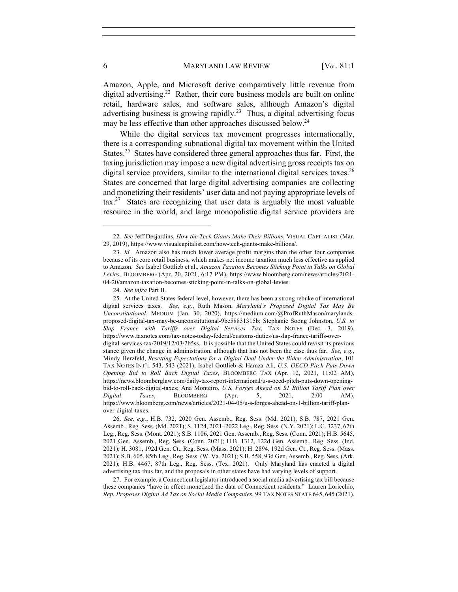Amazon, Apple, and Microsoft derive comparatively little revenue from digital advertising.<sup>22</sup> Rather, their core business models are built on online retail, hardware sales, and software sales, although Amazon's digital advertising business is growing rapidly.<sup>23</sup> Thus, a digital advertising focus may be less effective than other approaches discussed below.<sup>24</sup>

While the digital services tax movement progresses internationally, there is a corresponding subnational digital tax movement within the United States.<sup>25</sup> States have considered three general approaches thus far. First, the taxing jurisdiction may impose a new digital advertising gross receipts tax on digital service providers, similar to the international digital services taxes.<sup>26</sup> States are concerned that large digital advertising companies are collecting and monetizing their residents' user data and not paying appropriate levels of  $\text{tax.}^{27}$  States are recognizing that user data is arguably the most valuable resource in the world, and large monopolistic digital service providers are

24. *See infra* Part II.

<sup>22.</sup> *See* Jeff Desjardins, *How the Tech Giants Make Their Billions*, VISUAL CAPITALIST (Mar. 29, 2019), https://www.visualcapitalist.com/how-tech-giants-make-billions/.

<sup>23.</sup> *Id.* Amazon also has much lower average profit margins than the other four companies because of its core retail business, which makes net income taxation much less effective as applied to Amazon. *See* Isabel Gottlieb et al., *Amazon Taxation Becomes Sticking Point in Talks on Global Levies*, BLOOMBERG (Apr. 20, 2021, 6:17 PM), https://www.bloomberg.com/news/articles/2021- 04-20/amazon-taxation-becomes-sticking-point-in-talks-on-global-levies.

<sup>25.</sup> At the United States federal level, however, there has been a strong rebuke of international digital services taxes. *See, e.g.*, Ruth Mason, *Maryland's Proposed Digital Tax May Be Unconstitutional*, MEDIUM (Jan. 30, 2020), https://medium.com/@ProfRuthMason/marylandsproposed-digital-tax-may-be-unconstitutional-9be58831315b; Stephanie Soong Johnston, *U.S. to Slap France with Tariffs over Digital Services Tax*, TAX NOTES (Dec. 3, 2019), https://www.taxnotes.com/tax-notes-today-federal/customs-duties/us-slap-france-tariffs-overdigital-services-tax/2019/12/03/2b5ss. It is possible that the United States could revisit its previous stance given the change in administration, although that has not been the case thus far. *See, e.g.*, Mindy Herzfeld, *Resetting Expectations for a Digital Deal Under the Biden Administration*, 101 TAX NOTES INT'L 543, 543 (2021); Isabel Gottlieb & Hamza Ali, *U.S. OECD Pitch Puts Down Opening Bid to Roll Back Digital Taxes*, BLOOMBERG TAX (Apr. 12, 2021, 11:02 AM), https://news.bloomberglaw.com/daily-tax-report-international/u-s-oecd-pitch-puts-down-openingbid-to-roll-back-digital-taxes; Ana Monteiro, *U.S. Forges Ahead on \$1 Billion Tariff Plan over Digital Taxes*, BLOOMBERG (Apr. 5, 2021, 2:00 AM), https://www.bloomberg.com/news/articles/2021-04-05/u-s-forges-ahead-on-1-billion-tariff-planover-digital-taxes.

<sup>26.</sup> *See, e.g.*, H.B. 732, 2020 Gen. Assemb., Reg. Sess. (Md. 2021), S.B. 787, 2021 Gen. Assemb., Reg. Sess. (Md. 2021); S. 1124, 2021–2022 Leg., Reg. Sess. (N.Y. 2021); L.C. 3237, 67th Leg., Reg. Sess. (Mont. 2021); S.B. 1106, 2021 Gen. Assemb., Reg. Sess. (Conn. 2021); H.B. 5645, 2021 Gen. Assemb., Reg. Sess. (Conn. 2021); H.B. 1312, 122d Gen. Assemb., Reg. Sess. (Ind. 2021); H. 3081, 192d Gen. Ct., Reg. Sess. (Mass. 2021); H. 2894, 192d Gen. Ct., Reg. Sess. (Mass. 2021); S.B. 605, 85th Leg., Reg. Sess. (W. Va. 2021); S.B. 558, 93d Gen. Assemb., Reg. Sess. (Ark. 2021); H.B. 4467, 87th Leg., Reg. Sess. (Tex. 2021). Only Maryland has enacted a digital advertising tax thus far, and the proposals in other states have had varying levels of support.

<sup>27.</sup> For example, a Connecticut legislator introduced a social media advertising tax bill because these companies "have in effect monetized the data of Connecticut residents." Lauren Loricchio, *Rep. Proposes Digital Ad Tax on Social Media Companies*, 99 TAX NOTES STATE 645, 645 (2021).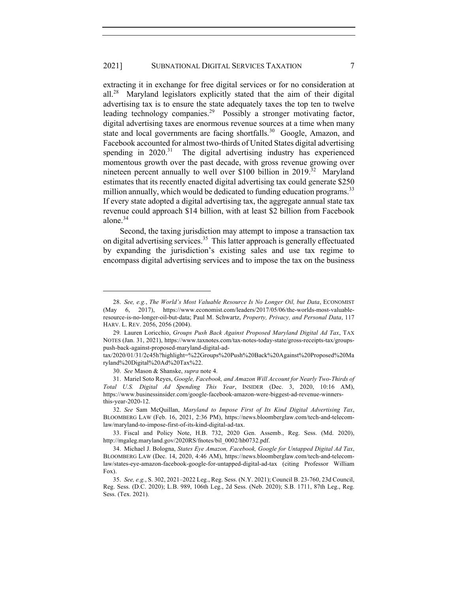extracting it in exchange for free digital services or for no consideration at all.28 Maryland legislators explicitly stated that the aim of their digital advertising tax is to ensure the state adequately taxes the top ten to twelve leading technology companies.<sup>29</sup> Possibly a stronger motivating factor, digital advertising taxes are enormous revenue sources at a time when many state and local governments are facing shortfalls.<sup>30</sup> Google, Amazon, and Facebook accounted for almost two-thirds of United States digital advertising spending in  $2020$ <sup>31</sup>. The digital advertising industry has experienced momentous growth over the past decade, with gross revenue growing over nineteen percent annually to well over \$100 billion in  $2019$ <sup>32</sup> Maryland estimates that its recently enacted digital advertising tax could generate \$250 million annually, which would be dedicated to funding education programs.<sup>33</sup> If every state adopted a digital advertising tax, the aggregate annual state tax revenue could approach \$14 billion, with at least \$2 billion from Facebook alone.34

Second, the taxing jurisdiction may attempt to impose a transaction tax on digital advertising services.<sup>35</sup> This latter approach is generally effectuated by expanding the jurisdiction's existing sales and use tax regime to encompass digital advertising services and to impose the tax on the business

<sup>28.</sup> *See, e.g.*, *The World's Most Valuable Resource Is No Longer Oil, but Data*, ECONOMIST (May 6, 2017), https://www.economist.com/leaders/2017/05/06/the-worlds-most-valuableresource-is-no-longer-oil-but-data; Paul M. Schwartz, *Property, Privacy, and Personal Data*, 117 HARV. L. REV. 2056, 2056 (2004).

<sup>29</sup>*.* Lauren Loricchio, *Groups Push Back Against Proposed Maryland Digital Ad Tax*, TAX NOTES (Jan. 31, 2021), https://www.taxnotes.com/tax-notes-today-state/gross-receipts-tax/groupspush-back-against-proposed-maryland-digital-ad-

tax/2020/01/31/2c45h?highlight=%22Groups%20Push%20Back%20Against%20Proposed%20Ma ryland%20Digital%20Ad%20Tax%22.

<sup>30.</sup> *See* Mason & Shanske, *supra* note 4.

<sup>31.</sup> Mariel Soto Reyes, *Google, Facebook, and Amazon Will Account for Nearly Two-Thirds of Total U.S. Digital Ad Spending This Year*, INSIDER (Dec. 3, 2020, 10:16 AM), https://www.businessinsider.com/google-facebook-amazon-were-biggest-ad-revenue-winnersthis-year-2020-12.

<sup>32.</sup> *See* Sam McQuillan, *Maryland to Impose First of Its Kind Digital Advertising Tax*, BLOOMBERG LAW (Feb. 16, 2021, 2:36 PM), https://news.bloomberglaw.com/tech-and-telecomlaw/maryland-to-impose-first-of-its-kind-digital-ad-tax.

<sup>33.</sup> Fiscal and Policy Note, H.B. 732, 2020 Gen. Assemb., Reg. Sess. (Md. 2020), http://mgaleg.maryland.gov/2020RS/fnotes/bil\_0002/hb0732.pdf.

<sup>34.</sup> Michael J. Bologna, *States Eye Amazon, Facebook, Google for Untapped Digital Ad Tax*, BLOOMBERG LAW (Dec. 14, 2020, 4:46 AM), https://news.bloomberglaw.com/tech-and-telecomlaw/states-eye-amazon-facebook-google-for-untapped-digital-ad-tax (citing Professor William Fox).

<sup>35.</sup> *See, e.g.*, S. 302, 2021–2022 Leg., Reg. Sess. (N.Y. 2021); Council B. 23-760, 23d Council, Reg. Sess. (D.C. 2020); L.B. 989, 106th Leg., 2d Sess. (Neb. 2020); S.B. 1711, 87th Leg., Reg. Sess. (Tex. 2021).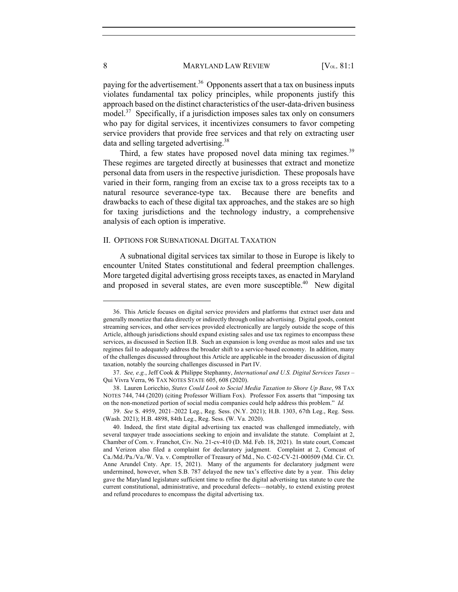paying for the advertisement.<sup>36</sup> Opponents assert that a tax on business inputs violates fundamental tax policy principles, while proponents justify this approach based on the distinct characteristics of the user-data-driven business model.<sup>37</sup> Specifically, if a jurisdiction imposes sales tax only on consumers who pay for digital services, it incentivizes consumers to favor competing service providers that provide free services and that rely on extracting user data and selling targeted advertising.<sup>38</sup>

Third, a few states have proposed novel data mining tax regimes.<sup>39</sup> These regimes are targeted directly at businesses that extract and monetize personal data from users in the respective jurisdiction. These proposals have varied in their form, ranging from an excise tax to a gross receipts tax to a natural resource severance-type tax. Because there are benefits and drawbacks to each of these digital tax approaches, and the stakes are so high for taxing jurisdictions and the technology industry, a comprehensive analysis of each option is imperative.

#### II. OPTIONS FOR SUBNATIONAL DIGITAL TAXATION

A subnational digital services tax similar to those in Europe is likely to encounter United States constitutional and federal preemption challenges. More targeted digital advertising gross receipts taxes, as enacted in Maryland and proposed in several states, are even more susceptible.<sup>40</sup> New digital

<sup>36.</sup> This Article focuses on digital service providers and platforms that extract user data and generally monetize that data directly or indirectly through online advertising. Digital goods, content streaming services, and other services provided electronically are largely outside the scope of this Article, although jurisdictions should expand existing sales and use tax regimes to encompass these services, as discussed in Section II.B. Such an expansion is long overdue as most sales and use tax regimes fail to adequately address the broader shift to a service-based economy. In addition, many of the challenges discussed throughout this Article are applicable in the broader discussion of digital taxation, notably the sourcing challenges discussed in Part IV.

<sup>37.</sup> *See, e.g.*, Jeff Cook & Philippe Stephanny, *International and U.S. Digital Services Taxes –* Qui Vivra Verra, 96 TAX NOTES STATE 605, 608 (2020).

<sup>38.</sup> Lauren Loricchio, *States Could Look to Social Media Taxation to Shore Up Base*, 98 TAX NOTES 744, 744 (2020) (citing Professor William Fox). Professor Fox asserts that "imposing tax on the non-monetized portion of social media companies could help address this problem." *Id.*

<sup>39.</sup> *See* S. 4959, 2021–2022 Leg., Reg. Sess. (N.Y. 2021); H.B. 1303, 67th Leg., Reg. Sess. (Wash. 2021); H.B. 4898, 84th Leg., Reg. Sess. (W. Va. 2020).

<sup>40.</sup> Indeed, the first state digital advertising tax enacted was challenged immediately, with several taxpayer trade associations seeking to enjoin and invalidate the statute. Complaint at 2, Chamber of Com. v. Franchot, Civ. No. 21-cv-410 (D. Md. Feb. 18, 2021). In state court, Comcast and Verizon also filed a complaint for declaratory judgment. Complaint at 2, Comcast of Ca./Md./Pa./Va./W. Va. v. Comptroller of Treasury of Md., No. C-02-CV-21-000509 (Md. Cir. Ct. Anne Arundel Cnty. Apr. 15, 2021). Many of the arguments for declaratory judgment were undermined, however, when S.B. 787 delayed the new tax's effective date by a year. This delay gave the Maryland legislature sufficient time to refine the digital advertising tax statute to cure the current constitutional, administrative, and procedural defects—notably, to extend existing protest and refund procedures to encompass the digital advertising tax.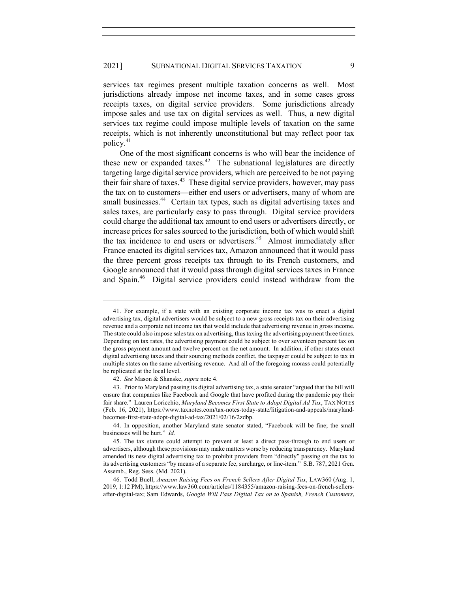services tax regimes present multiple taxation concerns as well. Most jurisdictions already impose net income taxes, and in some cases gross receipts taxes, on digital service providers. Some jurisdictions already impose sales and use tax on digital services as well. Thus, a new digital services tax regime could impose multiple levels of taxation on the same receipts, which is not inherently unconstitutional but may reflect poor tax policy.<sup>41</sup>

One of the most significant concerns is who will bear the incidence of these new or expanded taxes.<sup>42</sup> The subnational legislatures are directly targeting large digital service providers, which are perceived to be not paying their fair share of taxes.<sup>43</sup> These digital service providers, however, may pass the tax on to customers—either end users or advertisers, many of whom are small businesses.<sup>44</sup> Certain tax types, such as digital advertising taxes and sales taxes, are particularly easy to pass through. Digital service providers could charge the additional tax amount to end users or advertisers directly, or increase prices for sales sourced to the jurisdiction, both of which would shift the tax incidence to end users or advertisers.<sup>45</sup> Almost immediately after France enacted its digital services tax, Amazon announced that it would pass the three percent gross receipts tax through to its French customers, and Google announced that it would pass through digital services taxes in France and Spain.<sup>46</sup> Digital service providers could instead withdraw from the

<sup>41.</sup> For example, if a state with an existing corporate income tax was to enact a digital advertising tax, digital advertisers would be subject to a new gross receipts tax on their advertising revenue and a corporate net income tax that would include that advertising revenue in gross income. The state could also impose sales tax on advertising, thus taxing the advertising payment three times. Depending on tax rates, the advertising payment could be subject to over seventeen percent tax on the gross payment amount and twelve percent on the net amount. In addition, if other states enact digital advertising taxes and their sourcing methods conflict, the taxpayer could be subject to tax in multiple states on the same advertising revenue. And all of the foregoing morass could potentially be replicated at the local level.

<sup>42.</sup> *See* Mason & Shanske, *supra* note 4.

<sup>43.</sup> Prior to Maryland passing its digital advertising tax, a state senator "argued that the bill will ensure that companies like Facebook and Google that have profited during the pandemic pay their fair share." Lauren Loricchio, *Maryland Becomes First State to Adopt Digital Ad Tax*, TAX NOTES (Feb. 16, 2021), https://www.taxnotes.com/tax-notes-today-state/litigation-and-appeals/marylandbecomes-first-state-adopt-digital-ad-tax/2021/02/16/2zdbp.

<sup>44.</sup> In opposition, another Maryland state senator stated, "Facebook will be fine; the small businesses will be hurt." *Id.*

<sup>45.</sup> The tax statute could attempt to prevent at least a direct pass-through to end users or advertisers, although these provisions may make matters worse by reducing transparency. Maryland amended its new digital advertising tax to prohibit providers from "directly" passing on the tax to its advertising customers "by means of a separate fee, surcharge, or line-item." S.B. 787, 2021 Gen. Assemb., Reg. Sess. (Md. 2021).

<sup>46.</sup> Todd Buell, *Amazon Raising Fees on French Sellers After Digital Tax*, LAW360 (Aug. 1, 2019, 1:12 PM), https://www.law360.com/articles/1184355/amazon-raising-fees-on-french-sellersafter-digital-tax; Sam Edwards, *Google Will Pass Digital Tax on to Spanish, French Customers*,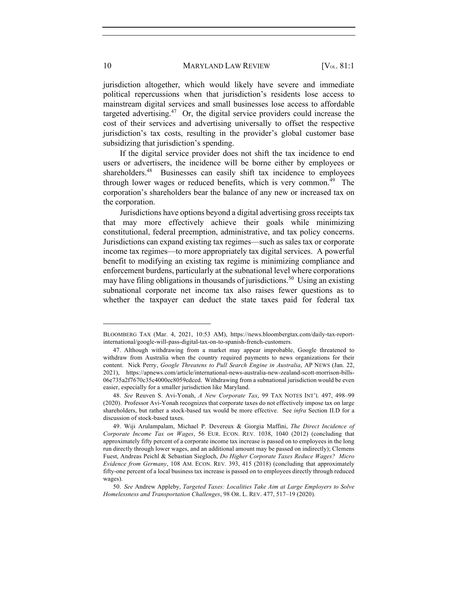jurisdiction altogether, which would likely have severe and immediate political repercussions when that jurisdiction's residents lose access to mainstream digital services and small businesses lose access to affordable targeted advertising.47 Or, the digital service providers could increase the cost of their services and advertising universally to offset the respective jurisdiction's tax costs, resulting in the provider's global customer base subsidizing that jurisdiction's spending.

If the digital service provider does not shift the tax incidence to end users or advertisers, the incidence will be borne either by employees or shareholders.<sup>48</sup> Businesses can easily shift tax incidence to employees through lower wages or reduced benefits, which is very common.<sup>49</sup> The corporation's shareholders bear the balance of any new or increased tax on the corporation.

Jurisdictions have options beyond a digital advertising gross receipts tax that may more effectively achieve their goals while minimizing constitutional, federal preemption, administrative, and tax policy concerns. Jurisdictions can expand existing tax regimes—such as sales tax or corporate income tax regimes—to more appropriately tax digital services. A powerful benefit to modifying an existing tax regime is minimizing compliance and enforcement burdens, particularly at the subnational level where corporations may have filing obligations in thousands of jurisdictions.<sup>50</sup> Using an existing subnational corporate net income tax also raises fewer questions as to whether the taxpayer can deduct the state taxes paid for federal tax

BLOOMBERG TAX (Mar. 4, 2021, 10:53 AM), https://news.bloombergtax.com/daily-tax-reportinternational/google-will-pass-digital-tax-on-to-spanish-french-customers.

<sup>47.</sup> Although withdrawing from a market may appear improbable, Google threatened to withdraw from Australia when the country required payments to news organizations for their content. Nick Perry, *Google Threatens to Pull Search Engine in Australia*, AP NEWS (Jan. 22, 2021), https://apnews.com/article/international-news-australia-new-zealand-scott-morrison-bills-06e735a2f7670c35c4000ec8059cdced. Withdrawing from a subnational jurisdiction would be even easier, especially for a smaller jurisdiction like Maryland.

<sup>48.</sup> *See* Reuven S. Avi-Yonah, *A New Corporate Tax*, 99 TAX NOTES INT'L 497, 498–99 (2020). Professor Avi-Yonah recognizes that corporate taxes do not effectively impose tax on large shareholders, but rather a stock-based tax would be more effective. See *infra* Section II.D for a discussion of stock-based taxes.

<sup>49.</sup> Wiji Arulampalam, Michael P. Devereux & Giorgia Maffini, *The Direct Incidence of Corporate Income Tax on Wages*, 56 EUR. ECON. REV. 1038, 1040 (2012) (concluding that approximately fifty percent of a corporate income tax increase is passed on to employees in the long run directly through lower wages, and an additional amount may be passed on indirectly); Clemens Fuest, Andreas Peichl & Sebastian Siegloch, *Do Higher Corporate Taxes Reduce Wages? Micro Evidence from Germany*, 108 AM. ECON. REV. 393, 415 (2018) (concluding that approximately fifty-one percent of a local business tax increase is passed on to employees directly through reduced wages).

<sup>50.</sup> *See* Andrew Appleby, *Targeted Taxes: Localities Take Aim at Large Employers to Solve Homelessness and Transportation Challenges*, 98 OR. L. REV. 477, 517–19 (2020).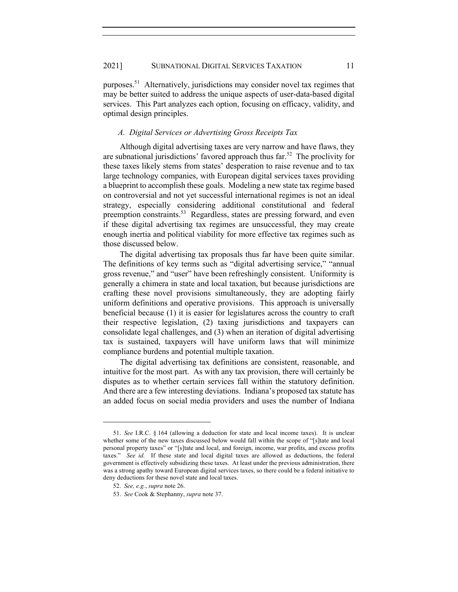purposes.51 Alternatively, jurisdictions may consider novel tax regimes that may be better suited to address the unique aspects of user-data-based digital services. This Part analyzes each option, focusing on efficacy, validity, and optimal design principles.

## *A. Digital Services or Advertising Gross Receipts Tax*

Although digital advertising taxes are very narrow and have flaws, they are subnational jurisdictions' favored approach thus far.<sup>52</sup> The proclivity for these taxes likely stems from states' desperation to raise revenue and to tax large technology companies, with European digital services taxes providing a blueprint to accomplish these goals. Modeling a new state tax regime based on controversial and not yet successful international regimes is not an ideal strategy, especially considering additional constitutional and federal preemption constraints.<sup>53</sup> Regardless, states are pressing forward, and even if these digital advertising tax regimes are unsuccessful, they may create enough inertia and political viability for more effective tax regimes such as those discussed below.

The digital advertising tax proposals thus far have been quite similar. The definitions of key terms such as "digital advertising service," "annual gross revenue," and "user" have been refreshingly consistent. Uniformity is generally a chimera in state and local taxation, but because jurisdictions are crafting these novel provisions simultaneously, they are adopting fairly uniform definitions and operative provisions. This approach is universally beneficial because (1) it is easier for legislatures across the country to craft their respective legislation, (2) taxing jurisdictions and taxpayers can consolidate legal challenges, and (3) when an iteration of digital advertising tax is sustained, taxpayers will have uniform laws that will minimize compliance burdens and potential multiple taxation.

The digital advertising tax definitions are consistent, reasonable, and intuitive for the most part. As with any tax provision, there will certainly be disputes as to whether certain services fall within the statutory definition. And there are a few interesting deviations. Indiana's proposed tax statute has an added focus on social media providers and uses the number of Indiana

<sup>51.</sup> *See* I.R.C. § 164 (allowing a deduction for state and local income taxes). It is unclear whether some of the new taxes discussed below would fall within the scope of "[s]tate and local personal property taxes" or "[s]tate and local, and foreign, income, war profits, and excess profits taxes." *See id.* If these state and local digital taxes are allowed as deductions, the federal government is effectively subsidizing these taxes. At least under the previous administration, there was a strong apathy toward European digital services taxes, so there could be a federal initiative to deny deductions for these novel state and local taxes.

<sup>52.</sup> *See, e.g.*, *supra* note 26.

<sup>53.</sup> *See* Cook & Stephanny, *supra* note 37.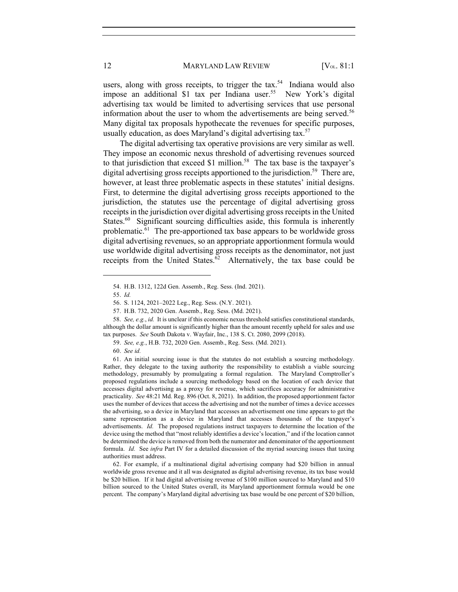users, along with gross receipts, to trigger the  $\text{tax.}^{54}$  Indiana would also impose an additional \$1 tax per Indiana user.<sup>55</sup> New York's digital advertising tax would be limited to advertising services that use personal information about the user to whom the advertisements are being served.<sup>56</sup> Many digital tax proposals hypothecate the revenues for specific purposes, usually education, as does Maryland's digital advertising tax.<sup>57</sup>

The digital advertising tax operative provisions are very similar as well. They impose an economic nexus threshold of advertising revenues sourced to that jurisdiction that exceed \$1 million.<sup>58</sup> The tax base is the taxpayer's digital advertising gross receipts apportioned to the jurisdiction.<sup>59</sup> There are, however, at least three problematic aspects in these statutes' initial designs. First, to determine the digital advertising gross receipts apportioned to the jurisdiction, the statutes use the percentage of digital advertising gross receipts in the jurisdiction over digital advertising gross receipts in the United States.<sup>60</sup> Significant sourcing difficulties aside, this formula is inherently problematic. $61$  The pre-apportioned tax base appears to be worldwide gross digital advertising revenues, so an appropriate apportionment formula would use worldwide digital advertising gross receipts as the denominator, not just receipts from the United States. $62$  Alternatively, the tax base could be

62. For example, if a multinational digital advertising company had \$20 billion in annual worldwide gross revenue and it all was designated as digital advertising revenue, its tax base would be \$20 billion. If it had digital advertising revenue of \$100 million sourced to Maryland and \$10 billion sourced to the United States overall, its Maryland apportionment formula would be one percent. The company's Maryland digital advertising tax base would be one percent of \$20 billion,

<sup>54.</sup> H.B. 1312, 122d Gen. Assemb., Reg. Sess. (Ind. 2021).

<sup>55.</sup> *Id.*

<sup>56.</sup> S. 1124, 2021–2022 Leg., Reg. Sess. (N.Y. 2021).

<sup>57.</sup> H.B. 732, 2020 Gen. Assemb., Reg. Sess. (Md. 2021).

<sup>58.</sup> *See, e.g.*, *id.* It is unclear if this economic nexus threshold satisfies constitutional standards, although the dollar amount is significantly higher than the amount recently upheld for sales and use tax purposes. *See* South Dakota v. Wayfair, Inc., 138 S. Ct. 2080, 2099 (2018).

<sup>59.</sup> *See, e.g.*, H.B. 732, 2020 Gen. Assemb., Reg. Sess. (Md. 2021).

<sup>60.</sup> *See id.*

<sup>61.</sup> An initial sourcing issue is that the statutes do not establish a sourcing methodology. Rather, they delegate to the taxing authority the responsibility to establish a viable sourcing methodology, presumably by promulgating a formal regulation. The Maryland Comptroller's proposed regulations include a sourcing methodology based on the location of each device that accesses digital advertising as a proxy for revenue, which sacrifices accuracy for administrative practicality. *See* 48:21 Md. Reg. 896 (Oct. 8, 2021). In addition, the proposed apportionment factor uses the number of devices that access the advertising and not the number of times a device accesses the advertising, so a device in Maryland that accesses an advertisement one time appears to get the same representation as a device in Maryland that accesses thousands of the taxpayer's advertisements. *Id.* The proposed regulations instruct taxpayers to determine the location of the device using the method that "most reliably identifies a device's location," and if the location cannot be determined the device is removed from both the numerator and denominator of the apportionment formula. *Id.* See *infra* Part IV for a detailed discussion of the myriad sourcing issues that taxing authorities must address.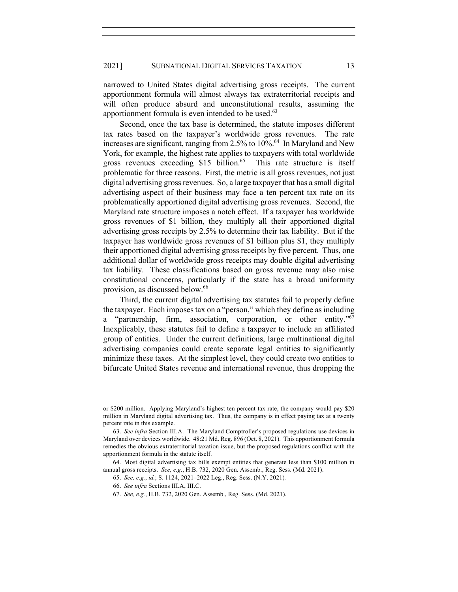narrowed to United States digital advertising gross receipts. The current apportionment formula will almost always tax extraterritorial receipts and will often produce absurd and unconstitutional results, assuming the apportionment formula is even intended to be used.<sup>63</sup>

Second, once the tax base is determined, the statute imposes different tax rates based on the taxpayer's worldwide gross revenues. The rate increases are significant, ranging from 2.5% to 10%. 64 In Maryland and New York, for example, the highest rate applies to taxpayers with total worldwide gross revenues exceeding \$15 billion.<sup>65</sup> This rate structure is itself problematic for three reasons. First, the metric is all gross revenues, not just digital advertising gross revenues. So, a large taxpayer that has a small digital advertising aspect of their business may face a ten percent tax rate on its problematically apportioned digital advertising gross revenues. Second, the Maryland rate structure imposes a notch effect. If a taxpayer has worldwide gross revenues of \$1 billion, they multiply all their apportioned digital advertising gross receipts by 2.5% to determine their tax liability. But if the taxpayer has worldwide gross revenues of \$1 billion plus \$1, they multiply their apportioned digital advertising gross receipts by five percent. Thus, one additional dollar of worldwide gross receipts may double digital advertising tax liability. These classifications based on gross revenue may also raise constitutional concerns, particularly if the state has a broad uniformity provision, as discussed below.<sup>66</sup>

Third, the current digital advertising tax statutes fail to properly define the taxpayer. Each imposes tax on a "person," which they define as including a "partnership, firm, association, corporation, or other entity."67 Inexplicably, these statutes fail to define a taxpayer to include an affiliated group of entities. Under the current definitions, large multinational digital advertising companies could create separate legal entities to significantly minimize these taxes. At the simplest level, they could create two entities to bifurcate United States revenue and international revenue, thus dropping the

or \$200 million. Applying Maryland's highest ten percent tax rate, the company would pay \$20 million in Maryland digital advertising tax. Thus, the company is in effect paying tax at a twenty percent rate in this example.

<sup>63.</sup> *See infra* Section III.A. The Maryland Comptroller's proposed regulations use devices in Maryland over devices worldwide. 48:21 Md. Reg. 896 (Oct. 8, 2021). This apportionment formula remedies the obvious extraterritorial taxation issue, but the proposed regulations conflict with the apportionment formula in the statute itself.

<sup>64.</sup> Most digital advertising tax bills exempt entities that generate less than \$100 million in annual gross receipts. *See, e.g.*, H.B. 732, 2020 Gen. Assemb., Reg. Sess. (Md. 2021).

<sup>65.</sup> *See, e.g.*, *id.*; S. 1124, 2021–2022 Leg., Reg. Sess. (N.Y. 2021)*.*

<sup>66.</sup> *See infra* Sections III.A, III.C.

<sup>67.</sup> *See, e.g.*, H.B. 732, 2020 Gen. Assemb., Reg. Sess. (Md. 2021).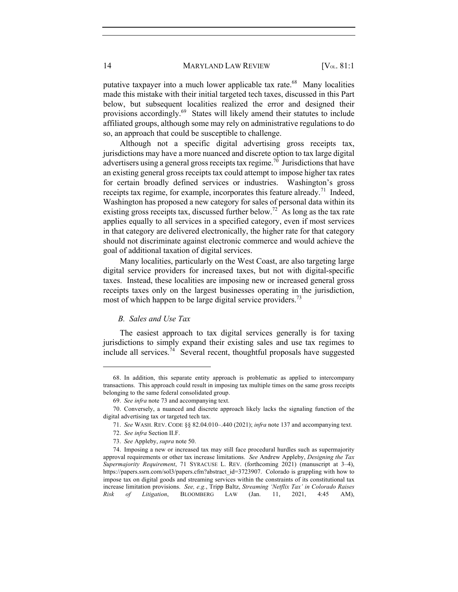putative taxpayer into a much lower applicable tax rate.<sup>68</sup> Many localities made this mistake with their initial targeted tech taxes, discussed in this Part below, but subsequent localities realized the error and designed their provisions accordingly.<sup>69</sup> States will likely amend their statutes to include affiliated groups, although some may rely on administrative regulations to do so, an approach that could be susceptible to challenge.

Although not a specific digital advertising gross receipts tax, jurisdictions may have a more nuanced and discrete option to tax large digital advertisers using a general gross receipts tax regime.<sup>70</sup> Jurisdictions that have an existing general gross receipts tax could attempt to impose higher tax rates for certain broadly defined services or industries. Washington's gross receipts tax regime, for example, incorporates this feature already.<sup>71</sup> Indeed, Washington has proposed a new category for sales of personal data within its existing gross receipts tax, discussed further below.<sup>72</sup> As long as the tax rate applies equally to all services in a specified category, even if most services in that category are delivered electronically, the higher rate for that category should not discriminate against electronic commerce and would achieve the goal of additional taxation of digital services.

Many localities, particularly on the West Coast, are also targeting large digital service providers for increased taxes, but not with digital-specific taxes. Instead, these localities are imposing new or increased general gross receipts taxes only on the largest businesses operating in the jurisdiction, most of which happen to be large digital service providers.<sup>73</sup>

## *B. Sales and Use Tax*

The easiest approach to tax digital services generally is for taxing jurisdictions to simply expand their existing sales and use tax regimes to include all services.<sup>74</sup> Several recent, thoughtful proposals have suggested

<sup>68.</sup> In addition, this separate entity approach is problematic as applied to intercompany transactions. This approach could result in imposing tax multiple times on the same gross receipts belonging to the same federal consolidated group.

<sup>69.</sup> *See infra* note 73 and accompanying text.

<sup>70.</sup> Conversely, a nuanced and discrete approach likely lacks the signaling function of the digital advertising tax or targeted tech tax.

<sup>71.</sup> *See* WASH. REV. CODE §§ 82.04.010–.440 (2021); *infra* note 137 and accompanying text.

<sup>72.</sup> *See infra* Section II.F.

<sup>73.</sup> *See* Appleby, *supra* note 50.

<sup>74.</sup> Imposing a new or increased tax may still face procedural hurdles such as supermajority approval requirements or other tax increase limitations. *See* Andrew Appleby, *Designing the Tax Supermajority Requirement*, 71 SYRACUSE L. REV. (forthcoming 2021) (manuscript at 3–4), https://papers.ssrn.com/sol3/papers.cfm?abstract\_id=3723907. Colorado is grappling with how to impose tax on digital goods and streaming services within the constraints of its constitutional tax increase limitation provisions. *See, e.g.*, Tripp Baltz, *Streaming 'Netflix Tax' in Colorado Raises Risk of Litigation*, BLOOMBERG LAW (Jan. 11, 2021, 4:45 AM),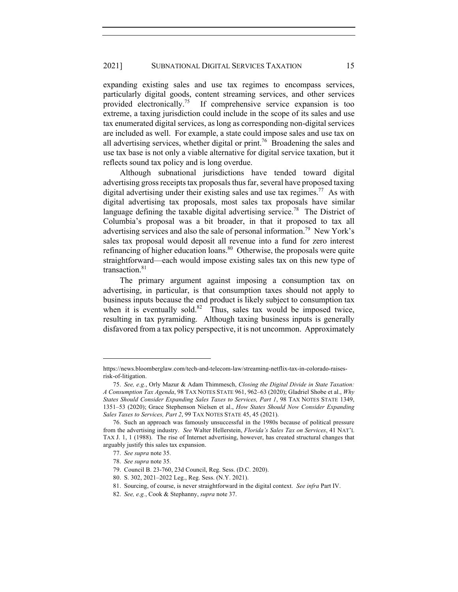expanding existing sales and use tax regimes to encompass services, particularly digital goods, content streaming services, and other services provided electronically.<sup>75</sup> If comprehensive service expansion is too extreme, a taxing jurisdiction could include in the scope of its sales and use tax enumerated digital services, as long as corresponding non-digital services are included as well. For example, a state could impose sales and use tax on all advertising services, whether digital or print.<sup>76</sup> Broadening the sales and use tax base is not only a viable alternative for digital service taxation, but it reflects sound tax policy and is long overdue.

Although subnational jurisdictions have tended toward digital advertising gross receipts tax proposals thus far, several have proposed taxing digital advertising under their existing sales and use tax regimes.<sup>77</sup> As with digital advertising tax proposals, most sales tax proposals have similar language defining the taxable digital advertising service.<sup>78</sup> The District of Columbia's proposal was a bit broader, in that it proposed to tax all advertising services and also the sale of personal information.<sup>79</sup> New York's sales tax proposal would deposit all revenue into a fund for zero interest refinancing of higher education loans.<sup>80</sup> Otherwise, the proposals were quite straightforward—each would impose existing sales tax on this new type of transaction.<sup>81</sup>

The primary argument against imposing a consumption tax on advertising, in particular, is that consumption taxes should not apply to business inputs because the end product is likely subject to consumption tax when it is eventually sold. $82$  Thus, sales tax would be imposed twice, resulting in tax pyramiding. Although taxing business inputs is generally disfavored from a tax policy perspective, it is not uncommon. Approximately

https://news.bloomberglaw.com/tech-and-telecom-law/streaming-netflix-tax-in-colorado-raisesrisk-of-litigation.

<sup>75.</sup> *See, e.g.*, Orly Mazur & Adam Thimmesch, *Closing the Digital Divide in State Taxation: A Consumption Tax Agenda*, 98 TAX NOTES STATE 961, 962–63 (2020); Gladriel Shobe et al., *Why States Should Consider Expanding Sales Taxes to Services, Part 1*, 98 TAX NOTES STATE 1349, 1351–53 (2020); Grace Stephenson Nielsen et al., *How States Should Now Consider Expanding Sales Taxes to Services, Part 2*, 99 TAX NOTES STATE 45, 45 (2021).

<sup>76.</sup> Such an approach was famously unsuccessful in the 1980s because of political pressure from the advertising industry. *See* Walter Hellerstein, *Florida's Sales Tax on Services*, 41 NAT'L TAX J. 1, 1 (1988). The rise of Internet advertising, however, has created structural changes that arguably justify this sales tax expansion.

<sup>77.</sup> *See supra* note 35.

<sup>78.</sup> *See supra* note 35.

<sup>79.</sup> Council B. 23-760, 23d Council, Reg. Sess. (D.C. 2020).

<sup>80.</sup> S. 302, 2021–2022 Leg., Reg. Sess. (N.Y. 2021).

<sup>81.</sup> Sourcing, of course, is never straightforward in the digital context. *See infra* Part IV.

<sup>82.</sup> *See, e.g.*, Cook & Stephanny, *supra* note 37.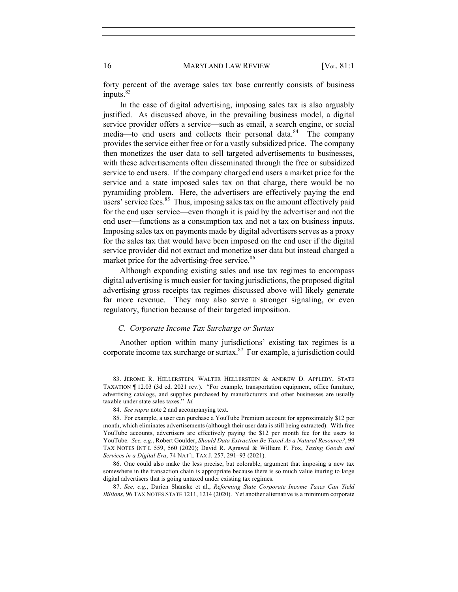forty percent of the average sales tax base currently consists of business inputs.<sup>83</sup>

In the case of digital advertising, imposing sales tax is also arguably justified. As discussed above, in the prevailing business model, a digital service provider offers a service—such as email, a search engine, or social media—to end users and collects their personal data.<sup>84</sup> The company provides the service either free or for a vastly subsidized price. The company then monetizes the user data to sell targeted advertisements to businesses, with these advertisements often disseminated through the free or subsidized service to end users. If the company charged end users a market price for the service and a state imposed sales tax on that charge, there would be no pyramiding problem. Here, the advertisers are effectively paying the end users' service fees. $85$  Thus, imposing sales tax on the amount effectively paid for the end user service—even though it is paid by the advertiser and not the end user—functions as a consumption tax and not a tax on business inputs. Imposing sales tax on payments made by digital advertisers serves as a proxy for the sales tax that would have been imposed on the end user if the digital service provider did not extract and monetize user data but instead charged a market price for the advertising-free service.<sup>86</sup>

Although expanding existing sales and use tax regimes to encompass digital advertising is much easier for taxing jurisdictions, the proposed digital advertising gross receipts tax regimes discussed above will likely generate far more revenue. They may also serve a stronger signaling, or even regulatory, function because of their targeted imposition.

## *C. Corporate Income Tax Surcharge or Surtax*

Another option within many jurisdictions' existing tax regimes is a corporate income tax surcharge or surtax. $87$  For example, a jurisdiction could

<sup>83.</sup> JEROME R. HELLERSTEIN, WALTER HELLERSTEIN & ANDREW D. APPLEBY, STATE TAXATION ¶ 12.03 (3d ed. 2021 rev.). "For example, transportation equipment, office furniture, advertising catalogs, and supplies purchased by manufacturers and other businesses are usually taxable under state sales taxes." *Id.*

<sup>84.</sup> *See supra* note 2 and accompanying text.

<sup>85.</sup> For example, a user can purchase a YouTube Premium account for approximately \$12 per month, which eliminates advertisements (although their user data is still being extracted). With free YouTube accounts, advertisers are effectively paying the \$12 per month fee for the users to YouTube. *See, e.g.*, Robert Goulder, *Should Data Extraction Be Taxed As a Natural Resource?*, 99 TAX NOTES INT'L 559, 560 (2020); David R. Agrawal & William F. Fox, *Taxing Goods and Services in a Digital Era*, 74 NAT'L TAX J. 257, 291–93 (2021).

<sup>86.</sup> One could also make the less precise, but colorable, argument that imposing a new tax somewhere in the transaction chain is appropriate because there is so much value inuring to large digital advertisers that is going untaxed under existing tax regimes.

<sup>87.</sup> *See, e.g.*, Darien Shanske et al., *Reforming State Corporate Income Taxes Can Yield Billions*, 96 TAX NOTES STATE 1211, 1214 (2020). Yet another alternative is a minimum corporate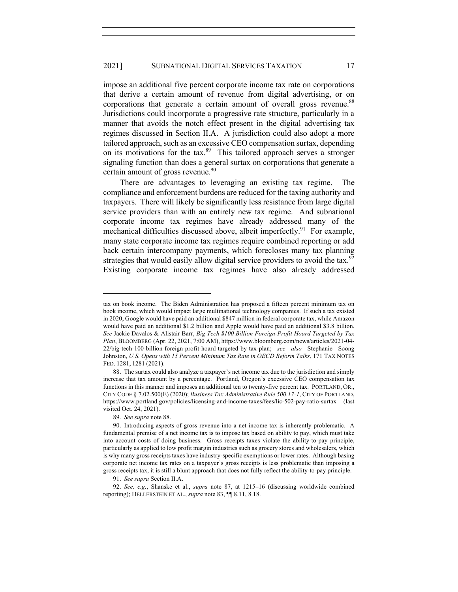impose an additional five percent corporate income tax rate on corporations that derive a certain amount of revenue from digital advertising, or on corporations that generate a certain amount of overall gross revenue.<sup>88</sup> Jurisdictions could incorporate a progressive rate structure, particularly in a manner that avoids the notch effect present in the digital advertising tax regimes discussed in Section II.A. A jurisdiction could also adopt a more tailored approach, such as an excessive CEO compensation surtax, depending on its motivations for the tax. $89$  This tailored approach serves a stronger signaling function than does a general surtax on corporations that generate a certain amount of gross revenue.<sup>90</sup>

There are advantages to leveraging an existing tax regime. The compliance and enforcement burdens are reduced for the taxing authority and taxpayers. There will likely be significantly less resistance from large digital service providers than with an entirely new tax regime. And subnational corporate income tax regimes have already addressed many of the mechanical difficulties discussed above, albeit imperfectly.<sup>91</sup> For example, many state corporate income tax regimes require combined reporting or add back certain intercompany payments, which forecloses many tax planning strategies that would easily allow digital service providers to avoid the tax.<sup>92</sup> Existing corporate income tax regimes have also already addressed

89. *See supra* note 88.

tax on book income. The Biden Administration has proposed a fifteen percent minimum tax on book income, which would impact large multinational technology companies. If such a tax existed in 2020, Google would have paid an additional \$847 million in federal corporate tax, while Amazon would have paid an additional \$1.2 billion and Apple would have paid an additional \$3.8 billion. *See* Jackie Davalos & Alistair Barr, *Big Tech \$100 Billion Foreign-Profit Hoard Targeted by Tax Plan*, BLOOMBERG (Apr. 22, 2021, 7:00 AM), https://www.bloomberg.com/news/articles/2021-04- 22/big-tech-100-billion-foreign-profit-hoard-targeted-by-tax-plan; *see also* Stephanie Soong Johnston, *U.S. Opens with 15 Percent Minimum Tax Rate in OECD Reform Talks*, 171 TAX NOTES FED. 1281, 1281 (2021).

<sup>88.</sup> The surtax could also analyze a taxpayer's net income tax due to the jurisdiction and simply increase that tax amount by a percentage. Portland, Oregon's excessive CEO compensation tax functions in this manner and imposes an additional ten to twenty-five percent tax. PORTLAND, OR., CITY CODE § 7.02.500(E) (2020); *Business Tax Administrative Rule 500.17-1*, CITY OF PORTLAND, https://www.portland.gov/policies/licensing-and-income-taxes/fees/lic-502-pay-ratio-surtax (last visited Oct. 24, 2021).

<sup>90.</sup> Introducing aspects of gross revenue into a net income tax is inherently problematic. A fundamental premise of a net income tax is to impose tax based on ability to pay, which must take into account costs of doing business. Gross receipts taxes violate the ability-to-pay principle, particularly as applied to low profit margin industries such as grocery stores and wholesalers, which is why many gross receipts taxes have industry-specific exemptions or lower rates. Although basing corporate net income tax rates on a taxpayer's gross receipts is less problematic than imposing a gross receipts tax, it is still a blunt approach that does not fully reflect the ability-to-pay principle.

<sup>91.</sup> *See supra* Section II.A.

<sup>92.</sup> *See, e.g.*, Shanske et al., *supra* note 87, at 1215–16 (discussing worldwide combined reporting); HELLERSTEIN ET AL., *supra* note 83, ¶¶ 8.11, 8.18.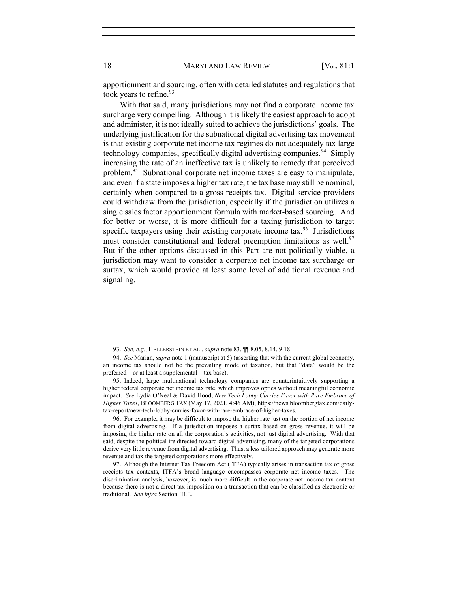apportionment and sourcing, often with detailed statutes and regulations that took years to refine. $93$ 

With that said, many jurisdictions may not find a corporate income tax surcharge very compelling. Although it is likely the easiest approach to adopt and administer, it is not ideally suited to achieve the jurisdictions' goals. The underlying justification for the subnational digital advertising tax movement is that existing corporate net income tax regimes do not adequately tax large technology companies, specifically digital advertising companies.<sup>94</sup> Simply increasing the rate of an ineffective tax is unlikely to remedy that perceived problem.95 Subnational corporate net income taxes are easy to manipulate, and even if a state imposes a higher tax rate, the tax base may still be nominal, certainly when compared to a gross receipts tax. Digital service providers could withdraw from the jurisdiction, especially if the jurisdiction utilizes a single sales factor apportionment formula with market-based sourcing. And for better or worse, it is more difficult for a taxing jurisdiction to target specific taxpayers using their existing corporate income  $\text{tax.}^{96}$  Jurisdictions must consider constitutional and federal preemption limitations as well.<sup>97</sup> But if the other options discussed in this Part are not politically viable, a jurisdiction may want to consider a corporate net income tax surcharge or surtax, which would provide at least some level of additional revenue and signaling.

<sup>93.</sup> *See, e.g.*, HELLERSTEIN ET AL., *supra* note 83, ¶¶ 8.05, 8.14, 9.18.

<sup>94.</sup> *See* Marian, *supra* note 1 (manuscript at 5) (asserting that with the current global economy, an income tax should not be the prevailing mode of taxation, but that "data" would be the preferred—or at least a supplemental—tax base).

<sup>95.</sup> Indeed, large multinational technology companies are counterintuitively supporting a higher federal corporate net income tax rate, which improves optics without meaningful economic impact. *See* Lydia O'Neal & David Hood, *New Tech Lobby Curries Favor with Rare Embrace of Higher Taxes*, BLOOMBERG TAX (May 17, 2021, 4:46 AM), https://news.bloombergtax.com/dailytax-report/new-tech-lobby-curries-favor-with-rare-embrace-of-higher-taxes.

<sup>96.</sup> For example, it may be difficult to impose the higher rate just on the portion of net income from digital advertising. If a jurisdiction imposes a surtax based on gross revenue, it will be imposing the higher rate on all the corporation's activities, not just digital advertising. With that said, despite the political ire directed toward digital advertising, many of the targeted corporations derive very little revenue from digital advertising. Thus, a less tailored approach may generate more revenue and tax the targeted corporations more effectively.

<sup>97.</sup> Although the Internet Tax Freedom Act (ITFA) typically arises in transaction tax or gross receipts tax contexts, ITFA's broad language encompasses corporate net income taxes. The discrimination analysis, however, is much more difficult in the corporate net income tax context because there is not a direct tax imposition on a transaction that can be classified as electronic or traditional. *See infra* Section III.E.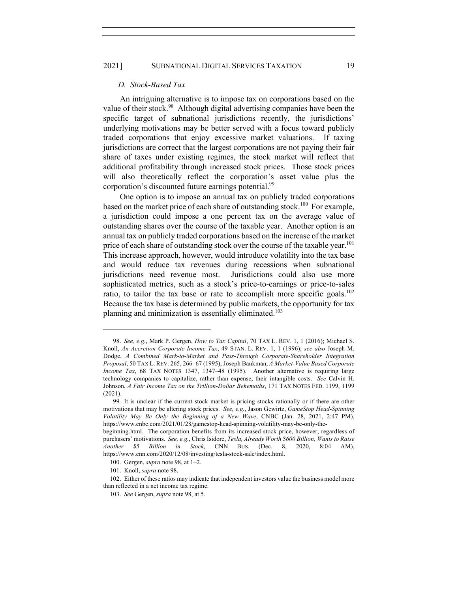## 2021] SUBNATIONAL DIGITAL SERVICES TAXATION 19

#### *D. Stock-Based Tax*

An intriguing alternative is to impose tax on corporations based on the value of their stock.<sup>98</sup> Although digital advertising companies have been the specific target of subnational jurisdictions recently, the jurisdictions' underlying motivations may be better served with a focus toward publicly traded corporations that enjoy excessive market valuations. If taxing jurisdictions are correct that the largest corporations are not paying their fair share of taxes under existing regimes, the stock market will reflect that additional profitability through increased stock prices. Those stock prices will also theoretically reflect the corporation's asset value plus the corporation's discounted future earnings potential.<sup>99</sup>

One option is to impose an annual tax on publicly traded corporations based on the market price of each share of outstanding stock.<sup>100</sup> For example, a jurisdiction could impose a one percent tax on the average value of outstanding shares over the course of the taxable year. Another option is an annual tax on publicly traded corporations based on the increase of the market price of each share of outstanding stock over the course of the taxable year.<sup>101</sup> This increase approach, however, would introduce volatility into the tax base and would reduce tax revenues during recessions when subnational jurisdictions need revenue most. Jurisdictions could also use more sophisticated metrics, such as a stock's price-to-earnings or price-to-sales ratio, to tailor the tax base or rate to accomplish more specific goals.<sup>102</sup> Because the tax base is determined by public markets, the opportunity for tax planning and minimization is essentially eliminated.<sup>103</sup>

<sup>98.</sup> *See, e.g.*, Mark P. Gergen, *How to Tax Capital*, 70 TAX L. REV. 1, 1 (2016); Michael S. Knoll, *An Accretion Corporate Income Tax*, 49 STAN. L. REV. 1, 1 (1996); *see also* Joseph M. Dodge, *A Combined Mark-to-Market and Pass-Through Corporate-Shareholder Integration Proposal*, 50 TAX L. REV. 265, 266–67 (1995); Joseph Bankman, *A Market-Value Based Corporate Income Tax*, 68 TAX NOTES 1347, 1347–48 (1995). Another alternative is requiring large technology companies to capitalize, rather than expense, their intangible costs. *See* Calvin H. Johnson, *A Fair Income Tax on the Trillion-Dollar Behemoths*, 171 TAX NOTES FED. 1199, 1199 (2021).

<sup>99</sup>*.* It is unclear if the current stock market is pricing stocks rationally or if there are other motivations that may be altering stock prices. *See, e.g.*, Jason Gewirtz, *GameStop Head-Spinning Volatility May Be Only the Beginning of a New Wave*, CNBC (Jan. 28, 2021, 2:47 PM), https://www.cnbc.com/2021/01/28/gamestop-head-spinning-volatility-may-be-only-the-

beginning.html. The corporation benefits from its increased stock price, however, regardless of purchasers' motivations. *See, e.g.*, Chris Isidore, *Tesla, Already Worth \$600 Billion, Wants to Raise Another \$5 Billion in Stock*, CNN BUS. (Dec. 8, 2020, 8:04 AM), https://www.cnn.com/2020/12/08/investing/tesla-stock-sale/index.html.

<sup>100.</sup> Gergen, *supra* note 98, at 1–2.

<sup>101.</sup> Knoll, *supra* note 98.

<sup>102.</sup> Either of these ratios may indicate that independent investors value the business model more than reflected in a net income tax regime.

<sup>103.</sup> *See* Gergen, *supra* note 98, at 5.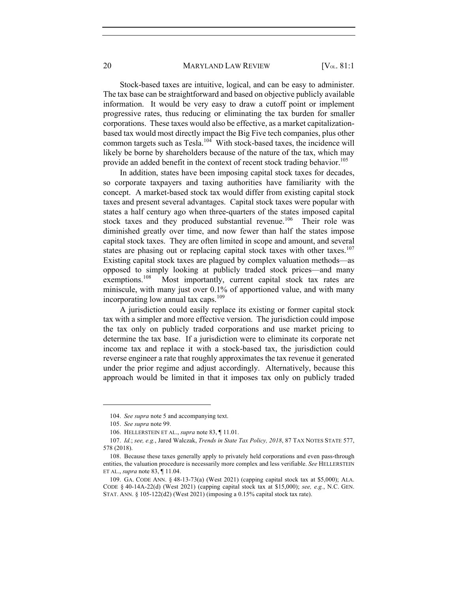Stock-based taxes are intuitive, logical, and can be easy to administer. The tax base can be straightforward and based on objective publicly available information. It would be very easy to draw a cutoff point or implement progressive rates, thus reducing or eliminating the tax burden for smaller corporations. These taxes would also be effective, as a market capitalizationbased tax would most directly impact the Big Five tech companies, plus other common targets such as Tesla.<sup>104</sup> With stock-based taxes, the incidence will likely be borne by shareholders because of the nature of the tax, which may provide an added benefit in the context of recent stock trading behavior.<sup>105</sup>

In addition, states have been imposing capital stock taxes for decades, so corporate taxpayers and taxing authorities have familiarity with the concept. A market-based stock tax would differ from existing capital stock taxes and present several advantages. Capital stock taxes were popular with states a half century ago when three-quarters of the states imposed capital stock taxes and they produced substantial revenue.<sup>106</sup> Their role was diminished greatly over time, and now fewer than half the states impose capital stock taxes. They are often limited in scope and amount, and several states are phasing out or replacing capital stock taxes with other taxes.<sup>107</sup> Existing capital stock taxes are plagued by complex valuation methods—as opposed to simply looking at publicly traded stock prices—and many exemptions.<sup>108</sup> Most importantly, current capital stock tax rates are miniscule, with many just over 0.1% of apportioned value, and with many incorporating low annual tax caps.<sup>109</sup>

A jurisdiction could easily replace its existing or former capital stock tax with a simpler and more effective version. The jurisdiction could impose the tax only on publicly traded corporations and use market pricing to determine the tax base. If a jurisdiction were to eliminate its corporate net income tax and replace it with a stock-based tax, the jurisdiction could reverse engineer a rate that roughly approximates the tax revenue it generated under the prior regime and adjust accordingly. Alternatively, because this approach would be limited in that it imposes tax only on publicly traded

<sup>104.</sup> *See supra* note 5 and accompanying text.

<sup>105.</sup> *See supra* note 99.

<sup>106.</sup> HELLERSTEIN ET AL., *supra* note 83, ¶ 11.01.

<sup>107.</sup> *Id.*; *see, e.g.*, Jared Walczak, *Trends in State Tax Policy, 2018*, 87 TAX NOTES STATE 577, 578 (2018).

<sup>108.</sup> Because these taxes generally apply to privately held corporations and even pass-through entities, the valuation procedure is necessarily more complex and less verifiable. *See* HELLERSTEIN ET AL., *supra* note 83, ¶ 11.04.

<sup>109.</sup> GA. CODE ANN. § 48-13-73(a) (West 2021) (capping capital stock tax at \$5,000); ALA. CODE § 40-14A-22(d) (West 2021) (capping capital stock tax at \$15,000); *see, e.g.*, N.C. GEN. STAT. ANN. § 105-122(d2) (West 2021) (imposing a 0.15% capital stock tax rate).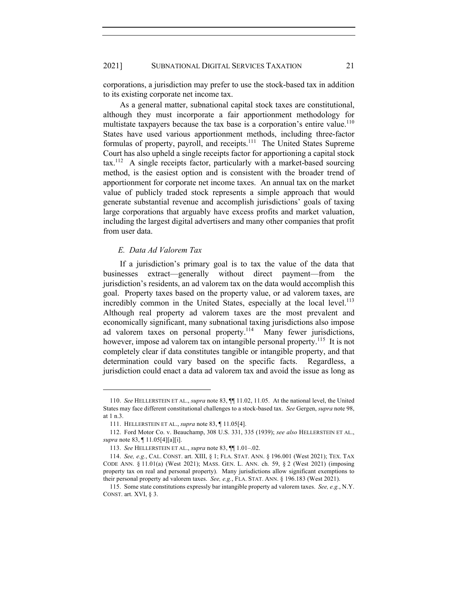corporations, a jurisdiction may prefer to use the stock-based tax in addition to its existing corporate net income tax.

As a general matter, subnational capital stock taxes are constitutional, although they must incorporate a fair apportionment methodology for multistate taxpayers because the tax base is a corporation's entire value.<sup>110</sup> States have used various apportionment methods, including three-factor formulas of property, payroll, and receipts.<sup>111</sup> The United States Supreme Court has also upheld a single receipts factor for apportioning a capital stock  $\text{tax.}^{112}$  A single receipts factor, particularly with a market-based sourcing method, is the easiest option and is consistent with the broader trend of apportionment for corporate net income taxes. An annual tax on the market value of publicly traded stock represents a simple approach that would generate substantial revenue and accomplish jurisdictions' goals of taxing large corporations that arguably have excess profits and market valuation, including the largest digital advertisers and many other companies that profit from user data.

# *E. Data Ad Valorem Tax*

If a jurisdiction's primary goal is to tax the value of the data that businesses extract—generally without direct payment—from the jurisdiction's residents, an ad valorem tax on the data would accomplish this goal. Property taxes based on the property value, or ad valorem taxes, are incredibly common in the United States, especially at the local level. $^{113}$ Although real property ad valorem taxes are the most prevalent and economically significant, many subnational taxing jurisdictions also impose ad valorem taxes on personal property.<sup>114</sup> Many fewer jurisdictions, however, impose ad valorem tax on intangible personal property.<sup>115</sup> It is not completely clear if data constitutes tangible or intangible property, and that determination could vary based on the specific facts. Regardless, a jurisdiction could enact a data ad valorem tax and avoid the issue as long as

<sup>110.</sup> *See* HELLERSTEIN ET AL., *supra* note 83, ¶¶ 11.02, 11.05. At the national level, the United States may face different constitutional challenges to a stock-based tax. *See* Gergen, *supra* note 98, at 1 n.3.

<sup>111.</sup> HELLERSTEIN ET AL., *supra* note 83, ¶ 11.05[4].

<sup>112.</sup> Ford Motor Co. v. Beauchamp, 308 U.S. 331, 335 (1939); *see also* HELLERSTEIN ET AL., *supra* note 83, ¶ 11.05[4][a][i].

<sup>113.</sup> *See* HELLERSTEIN ET AL., *supra* note 83, ¶¶ 1.01–.02.

<sup>114.</sup> *See, e.g.*, CAL. CONST. art. XIII, § 1; FLA. STAT. ANN. § 196.001 (West 2021); TEX. TAX CODE ANN. § 11.01(a) (West 2021); MASS. GEN. L. ANN. ch. 59, § 2 (West 2021) (imposing property tax on real and personal property). Many jurisdictions allow significant exemptions to their personal property ad valorem taxes. *See, e.g.*, FLA. STAT. ANN. § 196.183 (West 2021).

<sup>115.</sup> Some state constitutions expressly bar intangible property ad valorem taxes. *See, e.g.*, N.Y. CONST. art. XVI, § 3.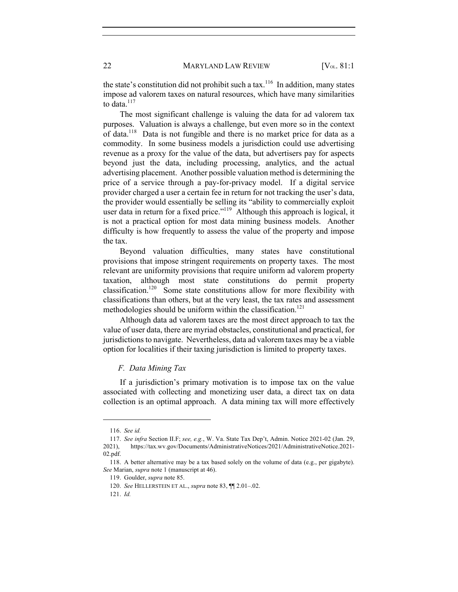the state's constitution did not prohibit such a tax.<sup>116</sup> In addition, many states impose ad valorem taxes on natural resources, which have many similarities to data. $117$ 

The most significant challenge is valuing the data for ad valorem tax purposes. Valuation is always a challenge, but even more so in the context of data.118 Data is not fungible and there is no market price for data as a commodity. In some business models a jurisdiction could use advertising revenue as a proxy for the value of the data, but advertisers pay for aspects beyond just the data, including processing, analytics, and the actual advertising placement. Another possible valuation method is determining the price of a service through a pay-for-privacy model. If a digital service provider charged a user a certain fee in return for not tracking the user's data, the provider would essentially be selling its "ability to commercially exploit user data in return for a fixed price."<sup>119</sup> Although this approach is logical, it is not a practical option for most data mining business models. Another difficulty is how frequently to assess the value of the property and impose the tax.

Beyond valuation difficulties, many states have constitutional provisions that impose stringent requirements on property taxes. The most relevant are uniformity provisions that require uniform ad valorem property taxation, although most state constitutions do permit property classification.120 Some state constitutions allow for more flexibility with classifications than others, but at the very least, the tax rates and assessment methodologies should be uniform within the classification.<sup>121</sup>

Although data ad valorem taxes are the most direct approach to tax the value of user data, there are myriad obstacles, constitutional and practical, for jurisdictions to navigate. Nevertheless, data ad valorem taxes may be a viable option for localities if their taxing jurisdiction is limited to property taxes.

#### *F. Data Mining Tax*

If a jurisdiction's primary motivation is to impose tax on the value associated with collecting and monetizing user data, a direct tax on data collection is an optimal approach. A data mining tax will more effectively

<sup>116.</sup> *See id.*

<sup>117.</sup> *See infra* Section II.F; *see, e.g.*, W. Va. State Tax Dep't, Admin. Notice 2021-02 (Jan. 29, 2021), https://tax.wv.gov/Documents/AdministrativeNotices/2021/AdministrativeNotice.2021- 02.pdf.

<sup>118.</sup> A better alternative may be a tax based solely on the volume of data (e.g., per gigabyte). *See* Marian, *supra* note 1 (manuscript at 46).

<sup>119.</sup> Goulder, *supra* note 85.

<sup>120.</sup> *See* HELLERSTEIN ET AL., *supra* note 83, ¶¶ 2.01–.02.

<sup>121.</sup> *Id.*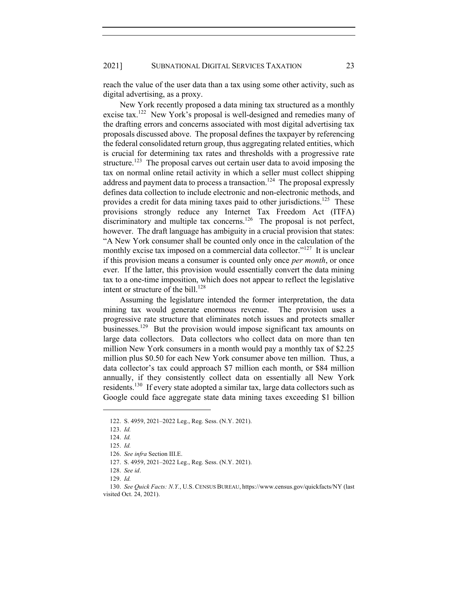reach the value of the user data than a tax using some other activity, such as digital advertising, as a proxy.

New York recently proposed a data mining tax structured as a monthly excise tax.<sup>122</sup> New York's proposal is well-designed and remedies many of the drafting errors and concerns associated with most digital advertising tax proposals discussed above. The proposal defines the taxpayer by referencing the federal consolidated return group, thus aggregating related entities, which is crucial for determining tax rates and thresholds with a progressive rate structure.<sup>123</sup> The proposal carves out certain user data to avoid imposing the tax on normal online retail activity in which a seller must collect shipping address and payment data to process a transaction.<sup>124</sup> The proposal expressly defines data collection to include electronic and non-electronic methods, and provides a credit for data mining taxes paid to other jurisdictions.<sup>125</sup> These provisions strongly reduce any Internet Tax Freedom Act (ITFA) discriminatory and multiple tax concerns.<sup>126</sup> The proposal is not perfect, however. The draft language has ambiguity in a crucial provision that states: "A New York consumer shall be counted only once in the calculation of the monthly excise tax imposed on a commercial data collector."<sup>127</sup> It is unclear if this provision means a consumer is counted only once *per month*, or once ever. If the latter, this provision would essentially convert the data mining tax to a one-time imposition, which does not appear to reflect the legislative intent or structure of the bill.<sup>128</sup>

Assuming the legislature intended the former interpretation, the data mining tax would generate enormous revenue. The provision uses a progressive rate structure that eliminates notch issues and protects smaller businesses.129 But the provision would impose significant tax amounts on large data collectors. Data collectors who collect data on more than ten million New York consumers in a month would pay a monthly tax of \$2.25 million plus \$0.50 for each New York consumer above ten million. Thus, a data collector's tax could approach \$7 million each month, or \$84 million annually, if they consistently collect data on essentially all New York residents.<sup>130</sup> If every state adopted a similar tax, large data collectors such as Google could face aggregate state data mining taxes exceeding \$1 billion

<sup>122.</sup> S. 4959, 2021–2022 Leg., Reg. Sess. (N.Y. 2021).

<sup>123.</sup> *Id.*

<sup>124.</sup> *Id.*

<sup>125.</sup> *Id.*

<sup>126.</sup> *See infra* Section III.E.

<sup>127.</sup> S. 4959, 2021–2022 Leg., Reg. Sess. (N.Y. 2021).

<sup>128.</sup> *See id*.

<sup>129.</sup> *Id.*

<sup>130.</sup> *See Quick Facts: N.Y.*, U.S. CENSUS BUREAU, https://www.census.gov/quickfacts/NY (last visited Oct. 24, 2021).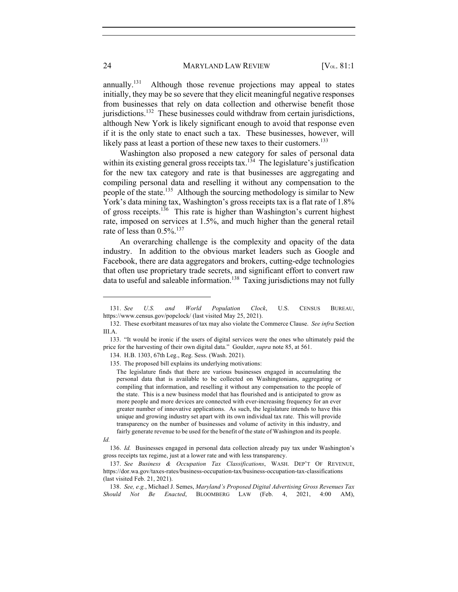annually.<sup>131</sup> Although those revenue projections may appeal to states initially, they may be so severe that they elicit meaningful negative responses from businesses that rely on data collection and otherwise benefit those jurisdictions.<sup>132</sup> These businesses could withdraw from certain jurisdictions, although New York is likely significant enough to avoid that response even if it is the only state to enact such a tax. These businesses, however, will likely pass at least a portion of these new taxes to their customers.<sup>133</sup>

Washington also proposed a new category for sales of personal data within its existing general gross receipts tax.<sup>134</sup> The legislature's justification for the new tax category and rate is that businesses are aggregating and compiling personal data and reselling it without any compensation to the people of the state.<sup>135</sup> Although the sourcing methodology is similar to New York's data mining tax, Washington's gross receipts tax is a flat rate of 1.8% of gross receipts.<sup>136</sup> This rate is higher than Washington's current highest rate, imposed on services at 1.5%, and much higher than the general retail rate of less than  $0.5\%$ .<sup>137</sup>

An overarching challenge is the complexity and opacity of the data industry. In addition to the obvious market leaders such as Google and Facebook, there are data aggregators and brokers, cutting-edge technologies that often use proprietary trade secrets, and significant effort to convert raw data to useful and saleable information.<sup>138</sup> Taxing jurisdictions may not fully

<sup>131.</sup> *See U.S. and World Population Clock*, U.S. CENSUS BUREAU, https://www.census.gov/popclock/ (last visited May 25, 2021).

<sup>132.</sup> These exorbitant measures of tax may also violate the Commerce Clause. *See infra* Section III.A.

<sup>133.</sup> "It would be ironic if the users of digital services were the ones who ultimately paid the price for the harvesting of their own digital data." Goulder, *supra* note 85, at 561.

<sup>134.</sup> H.B. 1303, 67th Leg., Reg. Sess. (Wash. 2021).

<sup>135.</sup> The proposed bill explains its underlying motivations:

The legislature finds that there are various businesses engaged in accumulating the personal data that is available to be collected on Washingtonians, aggregating or compiling that information, and reselling it without any compensation to the people of the state. This is a new business model that has flourished and is anticipated to grow as more people and more devices are connected with ever-increasing frequency for an ever greater number of innovative applications. As such, the legislature intends to have this unique and growing industry set apart with its own individual tax rate. This will provide transparency on the number of businesses and volume of activity in this industry, and fairly generate revenue to be used for the benefit of the state of Washington and its people.

*Id.*

<sup>136.</sup> *Id.* Businesses engaged in personal data collection already pay tax under Washington's gross receipts tax regime, just at a lower rate and with less transparency.

<sup>137.</sup> *See Business & Occupation Tax Classifications*, WASH. DEP'T OF REVENUE, https://dor.wa.gov/taxes-rates/business-occupation-tax/business-occupation-tax-classifications (last visited Feb. 21, 2021).

<sup>138.</sup> *See, e.g.*, Michael J. Semes, *Maryland's Proposed Digital Advertising Gross Revenues Tax Should Not Be Enacted*, BLOOMBERG LAW (Feb. 4, 2021, 4:00 AM),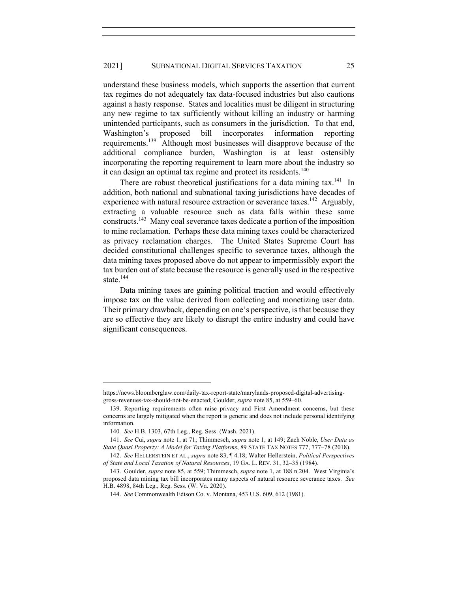understand these business models, which supports the assertion that current tax regimes do not adequately tax data-focused industries but also cautions against a hasty response. States and localities must be diligent in structuring any new regime to tax sufficiently without killing an industry or harming unintended participants, such as consumers in the jurisdiction. To that end, Washington's proposed bill incorporates information reporting requirements.139 Although most businesses will disapprove because of the additional compliance burden, Washington is at least ostensibly incorporating the reporting requirement to learn more about the industry so it can design an optimal tax regime and protect its residents.<sup>140</sup>

There are robust theoretical justifications for a data mining tax.<sup>141</sup> In addition, both national and subnational taxing jurisdictions have decades of experience with natural resource extraction or severance taxes.<sup>142</sup> Arguably, extracting a valuable resource such as data falls within these same constructs.143 Many coal severance taxes dedicate a portion of the imposition to mine reclamation. Perhaps these data mining taxes could be characterized as privacy reclamation charges. The United States Supreme Court has decided constitutional challenges specific to severance taxes, although the data mining taxes proposed above do not appear to impermissibly export the tax burden out of state because the resource is generally used in the respective state.<sup>144</sup>

Data mining taxes are gaining political traction and would effectively impose tax on the value derived from collecting and monetizing user data. Their primary drawback, depending on one's perspective, is that because they are so effective they are likely to disrupt the entire industry and could have significant consequences.

https://news.bloomberglaw.com/daily-tax-report-state/marylands-proposed-digital-advertisinggross-revenues-tax-should-not-be-enacted; Goulder, *supra* note 85, at 559–60.

<sup>139.</sup> Reporting requirements often raise privacy and First Amendment concerns, but these concerns are largely mitigated when the report is generic and does not include personal identifying information.

<sup>140</sup>*. See* H.B. 1303, 67th Leg., Reg. Sess. (Wash. 2021).

<sup>141.</sup> *See* Cui, *supra* note 1, at 71; Thimmesch, *supra* note 1, at 149; Zach Noble, *User Data as State Quasi Property: A Model for Taxing Platforms*, 89 STATE TAX NOTES 777, 777–78 (2018).

<sup>142.</sup> *See* HELLERSTEIN ET AL., *supra* note 83, ¶ 4.18; Walter Hellerstein, *Political Perspectives of State and Local Taxation of Natural Resources*, 19 GA. L. REV. 31, 32–35 (1984).

<sup>143.</sup> Goulder, *supra* note 85, at 559; Thimmesch, *supra* note 1, at 188 n.204. West Virginia's proposed data mining tax bill incorporates many aspects of natural resource severance taxes. *See* H.B. 4898, 84th Leg., Reg. Sess. (W. Va. 2020).

<sup>144.</sup> *See* Commonwealth Edison Co. v. Montana, 453 U.S. 609, 612 (1981).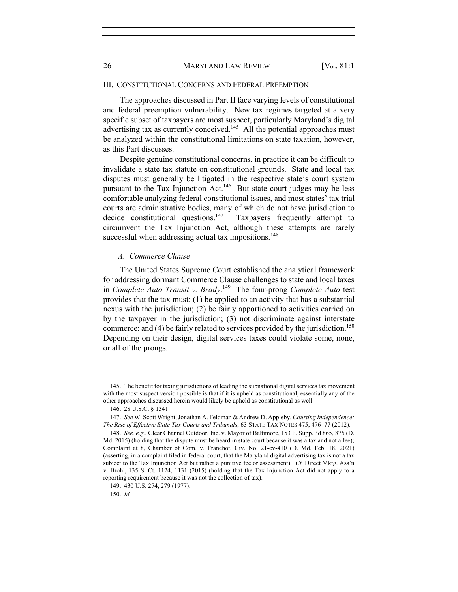#### III. CONSTITUTIONAL CONCERNS AND FEDERAL PREEMPTION

The approaches discussed in Part II face varying levels of constitutional and federal preemption vulnerability. New tax regimes targeted at a very specific subset of taxpayers are most suspect, particularly Maryland's digital advertising tax as currently conceived.<sup>145</sup> All the potential approaches must be analyzed within the constitutional limitations on state taxation, however, as this Part discusses.

Despite genuine constitutional concerns, in practice it can be difficult to invalidate a state tax statute on constitutional grounds. State and local tax disputes must generally be litigated in the respective state's court system pursuant to the Tax Injunction Act.<sup>146</sup> But state court judges may be less comfortable analyzing federal constitutional issues, and most states' tax trial courts are administrative bodies, many of which do not have jurisdiction to decide constitutional questions.<sup>147</sup> Taxpayers frequently attempt to circumvent the Tax Injunction Act, although these attempts are rarely successful when addressing actual tax impositions.<sup>148</sup>

#### *A. Commerce Clause*

The United States Supreme Court established the analytical framework for addressing dormant Commerce Clause challenges to state and local taxes in *Complete Auto Transit v. Brady*. 149 The four-prong *Complete Auto* test provides that the tax must: (1) be applied to an activity that has a substantial nexus with the jurisdiction; (2) be fairly apportioned to activities carried on by the taxpayer in the jurisdiction; (3) not discriminate against interstate commerce; and (4) be fairly related to services provided by the jurisdiction.<sup>150</sup> Depending on their design, digital services taxes could violate some, none, or all of the prongs.

<sup>145.</sup> The benefit for taxing jurisdictions of leading the subnational digital services tax movement with the most suspect version possible is that if it is upheld as constitutional, essentially any of the other approaches discussed herein would likely be upheld as constitutional as well.

<sup>146.</sup> 28 U.S.C. § 1341.

<sup>147.</sup> *See* W. Scott Wright, Jonathan A. Feldman & Andrew D. Appleby, *Courting Independence: The Rise of Effective State Tax Courts and Tribunals*, 63 STATE TAX NOTES 475, 476–77 (2012).

<sup>148.</sup> *See, e.g.*, Clear Channel Outdoor, Inc. v. Mayor of Baltimore, 153 F. Supp. 3d 865, 875 (D. Md. 2015) (holding that the dispute must be heard in state court because it was a tax and not a fee); Complaint at 8, Chamber of Com. v. Franchot, Civ. No. 21-cv-410 (D. Md. Feb. 18, 2021) (asserting, in a complaint filed in federal court, that the Maryland digital advertising tax is not a tax subject to the Tax Injunction Act but rather a punitive fee or assessment). *Cf.* Direct Mktg. Ass'n v. Brohl, 135 S. Ct. 1124, 1131 (2015) (holding that the Tax Injunction Act did not apply to a reporting requirement because it was not the collection of tax).

<sup>149.</sup> 430 U.S. 274, 279 (1977).

<sup>150.</sup> *Id.*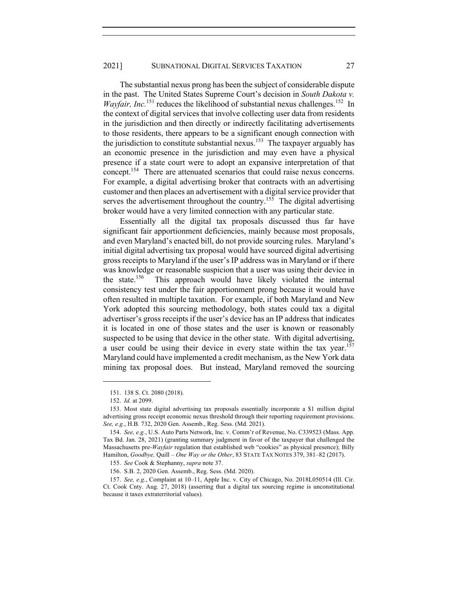The substantial nexus prong has been the subject of considerable dispute in the past. The United States Supreme Court's decision in *South Dakota v. Wayfair, Inc.*<sup>151</sup> reduces the likelihood of substantial nexus challenges.<sup>152</sup> In the context of digital services that involve collecting user data from residents in the jurisdiction and then directly or indirectly facilitating advertisements to those residents, there appears to be a significant enough connection with the jurisdiction to constitute substantial nexus.<sup>153</sup> The taxpayer arguably has an economic presence in the jurisdiction and may even have a physical presence if a state court were to adopt an expansive interpretation of that concept.154 There are attenuated scenarios that could raise nexus concerns. For example, a digital advertising broker that contracts with an advertising customer and then places an advertisement with a digital service provider that serves the advertisement throughout the country.<sup>155</sup> The digital advertising broker would have a very limited connection with any particular state.

Essentially all the digital tax proposals discussed thus far have significant fair apportionment deficiencies, mainly because most proposals, and even Maryland's enacted bill, do not provide sourcing rules. Maryland's initial digital advertising tax proposal would have sourced digital advertising gross receipts to Maryland if the user's IP address was in Maryland or if there was knowledge or reasonable suspicion that a user was using their device in the state.<sup>156</sup> This approach would have likely violated the internal consistency test under the fair apportionment prong because it would have often resulted in multiple taxation. For example, if both Maryland and New York adopted this sourcing methodology, both states could tax a digital advertiser's gross receipts if the user's device has an IP address that indicates it is located in one of those states and the user is known or reasonably suspected to be using that device in the other state. With digital advertising, a user could be using their device in every state within the tax year.<sup>157</sup> Maryland could have implemented a credit mechanism, as the New York data mining tax proposal does. But instead, Maryland removed the sourcing

<sup>151.</sup> 138 S. Ct. 2080 (2018).

<sup>152.</sup> *Id.* at 2099.

<sup>153.</sup> Most state digital advertising tax proposals essentially incorporate a \$1 million digital advertising gross receipt economic nexus threshold through their reporting requirement provisions. *See, e.g.*, H.B. 732, 2020 Gen. Assemb., Reg. Sess. (Md. 2021).

<sup>154.</sup> *See, e.g.*, U.S. Auto Parts Network, Inc. v. Comm'r of Revenue, No. C339523 (Mass. App. Tax Bd. Jan. 28, 2021) (granting summary judgment in favor of the taxpayer that challenged the Massachusetts pre-*Wayfair* regulation that established web "cookies" as physical presence); Billy Hamilton, *Goodbye,* Quill – *One Way or the Other*, 83 STATE TAX NOTES 379, 381–82 (2017).

<sup>155.</sup> *See* Cook & Stephanny, *supra* note 37.

<sup>156.</sup> S.B. 2, 2020 Gen. Assemb., Reg. Sess. (Md. 2020).

<sup>157.</sup> *See, e.g.*, Complaint at 10–11, Apple Inc. v. City of Chicago, No. 2018L050514 (Ill. Cir. Ct. Cook Cnty. Aug. 27, 2018) (asserting that a digital tax sourcing regime is unconstitutional because it taxes extraterritorial values).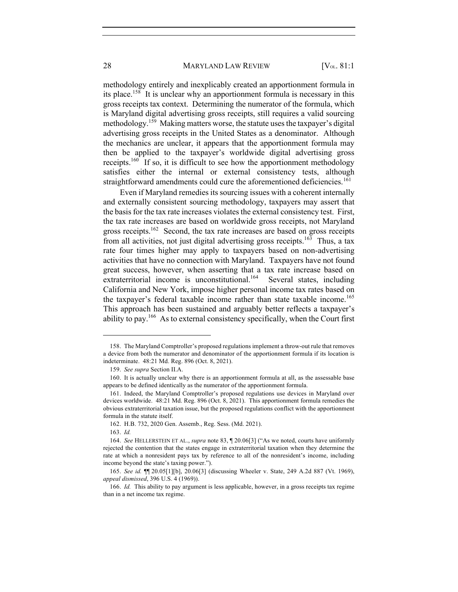methodology entirely and inexplicably created an apportionment formula in its place.<sup>158</sup> It is unclear why an apportionment formula is necessary in this gross receipts tax context. Determining the numerator of the formula, which is Maryland digital advertising gross receipts, still requires a valid sourcing methodology.<sup>159</sup> Making matters worse, the statute uses the taxpayer's digital advertising gross receipts in the United States as a denominator. Although the mechanics are unclear, it appears that the apportionment formula may then be applied to the taxpayer's worldwide digital advertising gross receipts.<sup>160</sup> If so, it is difficult to see how the apportionment methodology satisfies either the internal or external consistency tests, although straightforward amendments could cure the aforementioned deficiencies.<sup>161</sup>

Even if Maryland remedies its sourcing issues with a coherent internally and externally consistent sourcing methodology, taxpayers may assert that the basis for the tax rate increases violates the external consistency test. First, the tax rate increases are based on worldwide gross receipts, not Maryland gross receipts.<sup>162</sup> Second, the tax rate increases are based on gross receipts from all activities, not just digital advertising gross receipts.<sup>163</sup> Thus, a tax rate four times higher may apply to taxpayers based on non-advertising activities that have no connection with Maryland. Taxpayers have not found great success, however, when asserting that a tax rate increase based on extraterritorial income is unconstitutional.<sup>164</sup> Several states, including California and New York, impose higher personal income tax rates based on the taxpayer's federal taxable income rather than state taxable income.<sup>165</sup> This approach has been sustained and arguably better reflects a taxpayer's ability to pay.<sup>166</sup> As to external consistency specifically, when the Court first

<sup>158.</sup> The Maryland Comptroller's proposed regulations implement a throw-out rule that removes a device from both the numerator and denominator of the apportionment formula if its location is indeterminate. 48:21 Md. Reg. 896 (Oct. 8, 2021).

<sup>159.</sup> *See supra* Section II.A.

<sup>160.</sup> It is actually unclear why there is an apportionment formula at all, as the assessable base appears to be defined identically as the numerator of the apportionment formula.

<sup>161.</sup> Indeed, the Maryland Comptroller's proposed regulations use devices in Maryland over devices worldwide. 48:21 Md. Reg. 896 (Oct. 8, 2021). This apportionment formula remedies the obvious extraterritorial taxation issue, but the proposed regulations conflict with the apportionment formula in the statute itself.

<sup>162.</sup> H.B. 732, 2020 Gen. Assemb., Reg. Sess. (Md. 2021).

<sup>163.</sup> *Id.*

<sup>164.</sup> *See* HELLERSTEIN ET AL., *supra* note 83, ¶ 20.06[3] ("As we noted, courts have uniformly rejected the contention that the states engage in extraterritorial taxation when they determine the rate at which a nonresident pays tax by reference to all of the nonresident's income, including income beyond the state's taxing power.").

<sup>165.</sup> *See id.* ¶¶ 20.05[1][b], 20.06[3] (discussing Wheeler v. State, 249 A.2d 887 (Vt. 1969), *appeal dismissed*, 396 U.S. 4 (1969)).

<sup>166.</sup> *Id.* This ability to pay argument is less applicable, however, in a gross receipts tax regime than in a net income tax regime.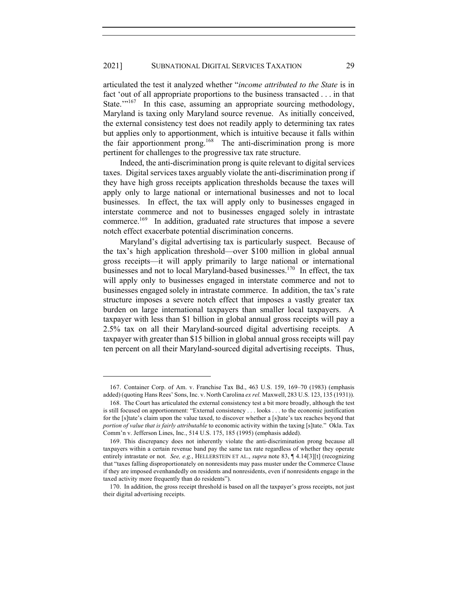articulated the test it analyzed whether "*income attributed to the State* is in fact 'out of all appropriate proportions to the business transacted . . . in that State.'"<sup>167</sup> In this case, assuming an appropriate sourcing methodology, Maryland is taxing only Maryland source revenue. As initially conceived, the external consistency test does not readily apply to determining tax rates but applies only to apportionment, which is intuitive because it falls within the fair apportionment prong.<sup>168</sup> The anti-discrimination prong is more pertinent for challenges to the progressive tax rate structure.

Indeed, the anti-discrimination prong is quite relevant to digital services taxes. Digital services taxes arguably violate the anti-discrimination prong if they have high gross receipts application thresholds because the taxes will apply only to large national or international businesses and not to local businesses. In effect, the tax will apply only to businesses engaged in interstate commerce and not to businesses engaged solely in intrastate commerce.<sup>169</sup> In addition, graduated rate structures that impose a severe notch effect exacerbate potential discrimination concerns.

Maryland's digital advertising tax is particularly suspect. Because of the tax's high application threshold—over \$100 million in global annual gross receipts—it will apply primarily to large national or international businesses and not to local Maryland-based businesses.<sup>170</sup> In effect, the tax will apply only to businesses engaged in interstate commerce and not to businesses engaged solely in intrastate commerce. In addition, the tax's rate structure imposes a severe notch effect that imposes a vastly greater tax burden on large international taxpayers than smaller local taxpayers. A taxpayer with less than \$1 billion in global annual gross receipts will pay a 2.5% tax on all their Maryland-sourced digital advertising receipts. A taxpayer with greater than \$15 billion in global annual gross receipts will pay ten percent on all their Maryland-sourced digital advertising receipts. Thus,

<sup>167.</sup> Container Corp. of Am. v. Franchise Tax Bd., 463 U.S. 159, 169–70 (1983) (emphasis added) (quoting Hans Rees' Sons, Inc. v. North Carolina *ex rel.* Maxwell, 283 U.S. 123, 135 (1931)).

<sup>168.</sup> The Court has articulated the external consistency test a bit more broadly, although the test is still focused on apportionment: "External consistency . . . looks . . . to the economic justification for the [s]tate's claim upon the value taxed, to discover whether a [s]tate's tax reaches beyond that *portion of value that is fairly attributable* to economic activity within the taxing [s]tate." Okla. Tax Comm'n v. Jefferson Lines, Inc., 514 U.S. 175, 185 (1995) (emphasis added).

<sup>169.</sup> This discrepancy does not inherently violate the anti-discrimination prong because all taxpayers within a certain revenue band pay the same tax rate regardless of whether they operate entirely intrastate or not. *See, e.g.*, HELLERSTEIN ET AL., *supra* note 83, ¶ 4.14[3][t] (recognizing that "taxes falling disproportionately on nonresidents may pass muster under the Commerce Clause if they are imposed evenhandedly on residents and nonresidents, even if nonresidents engage in the taxed activity more frequently than do residents").

<sup>170.</sup> In addition, the gross receipt threshold is based on all the taxpayer's gross receipts, not just their digital advertising receipts.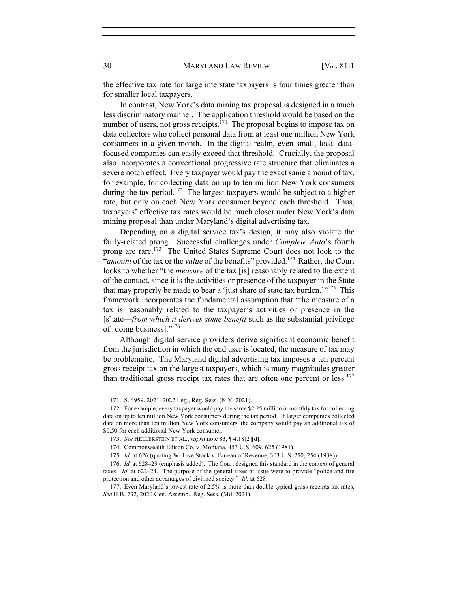the effective tax rate for large interstate taxpayers is four times greater than for smaller local taxpayers.

In contrast, New York's data mining tax proposal is designed in a much less discriminatory manner. The application threshold would be based on the number of users, not gross receipts.<sup>171</sup> The proposal begins to impose tax on data collectors who collect personal data from at least one million New York consumers in a given month. In the digital realm, even small, local datafocused companies can easily exceed that threshold. Crucially, the proposal also incorporates a conventional progressive rate structure that eliminates a severe notch effect. Every taxpayer would pay the exact same amount of tax, for example, for collecting data on up to ten million New York consumers during the tax period.<sup>172</sup> The largest taxpayers would be subject to a higher rate, but only on each New York consumer beyond each threshold. Thus, taxpayers' effective tax rates would be much closer under New York's data mining proposal than under Maryland's digital advertising tax.

Depending on a digital service tax's design, it may also violate the fairly-related prong. Successful challenges under *Complete Auto*'s fourth prong are rare.<sup>173</sup> The United States Supreme Court does not look to the "*amount* of the tax or the *value* of the benefits" provided.<sup>174</sup> Rather, the Court looks to whether "the *measure* of the tax [is] reasonably related to the extent of the contact, since it is the activities or presence of the taxpayer in the State that may properly be made to bear a 'just share of state tax burden.'"<sup>175</sup> This framework incorporates the fundamental assumption that "the measure of a tax is reasonably related to the taxpayer's activities or presence in the [s]tate—*from which it derives some benefit* such as the substantial privilege of [doing business]."176

Although digital service providers derive significant economic benefit from the jurisdiction in which the end user is located, the measure of tax may be problematic. The Maryland digital advertising tax imposes a ten percent gross receipt tax on the largest taxpayers, which is many magnitudes greater than traditional gross receipt tax rates that are often one percent or less.<sup>177</sup>

<sup>171.</sup> S. 4959, 2021–2022 Leg., Reg. Sess. (N.Y. 2021).

<sup>172.</sup> For example, every taxpayer would pay the same \$2.25 million in monthly tax for collecting data on up to ten million New York consumers during the tax period. If larger companies collected data on more than ten million New York consumers, the company would pay an additional tax of \$0.50 for each additional New York consumer.

<sup>173.</sup> *See* HELLERSTEIN ET AL., *supra* note 83, ¶ 4.18[2][d].

<sup>174.</sup> Commonwealth Edison Co. v. Montana, 453 U.S. 609, 625 (1981).

<sup>175.</sup> *Id.* at 626 (quoting W. Live Stock v. Bureau of Revenue, 303 U.S. 250, 254 (1938)).

<sup>176.</sup> *Id.* at 628–29 (emphasis added). The Court designed this standard in the context of general taxes. *Id.* at 622–24. The purpose of the general taxes at issue were to provide "police and fire protection and other advantages of civilized society." *Id.* at 628.

<sup>177.</sup> Even Maryland's lowest rate of 2.5% is more than double typical gross receipts tax rates. *See* H.B. 732, 2020 Gen. Assemb., Reg. Sess. (Md. 2021).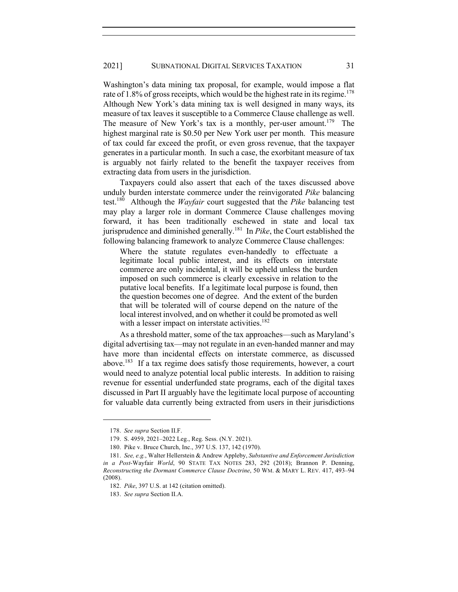Washington's data mining tax proposal, for example, would impose a flat rate of  $1.8\%$  of gross receipts, which would be the highest rate in its regime.<sup>178</sup> Although New York's data mining tax is well designed in many ways, its measure of tax leaves it susceptible to a Commerce Clause challenge as well. The measure of New York's tax is a monthly, per-user amount.<sup>179</sup> The highest marginal rate is \$0.50 per New York user per month. This measure of tax could far exceed the profit, or even gross revenue, that the taxpayer generates in a particular month. In such a case, the exorbitant measure of tax is arguably not fairly related to the benefit the taxpayer receives from extracting data from users in the jurisdiction.

Taxpayers could also assert that each of the taxes discussed above unduly burden interstate commerce under the reinvigorated *Pike* balancing test.180 Although the *Wayfair* court suggested that the *Pike* balancing test may play a larger role in dormant Commerce Clause challenges moving forward, it has been traditionally eschewed in state and local tax jurisprudence and diminished generally.181 In *Pike*, the Court established the following balancing framework to analyze Commerce Clause challenges:

Where the statute regulates even-handedly to effectuate a legitimate local public interest, and its effects on interstate commerce are only incidental, it will be upheld unless the burden imposed on such commerce is clearly excessive in relation to the putative local benefits. If a legitimate local purpose is found, then the question becomes one of degree. And the extent of the burden that will be tolerated will of course depend on the nature of the local interest involved, and on whether it could be promoted as well with a lesser impact on interstate activities.<sup>182</sup>

As a threshold matter, some of the tax approaches—such as Maryland's digital advertising tax—may not regulate in an even-handed manner and may have more than incidental effects on interstate commerce, as discussed above.183 If a tax regime does satisfy those requirements, however, a court would need to analyze potential local public interests. In addition to raising revenue for essential underfunded state programs, each of the digital taxes discussed in Part II arguably have the legitimate local purpose of accounting for valuable data currently being extracted from users in their jurisdictions

<sup>178.</sup> *See supra* Section II.F.

<sup>179.</sup> S. 4959, 2021–2022 Leg., Reg. Sess. (N.Y. 2021).

<sup>180.</sup> Pike v. Bruce Church, Inc., 397 U.S. 137, 142 (1970).

<sup>181.</sup> *See, e.g.*, Walter Hellerstein & Andrew Appleby, *Substantive and Enforcement Jurisdiction in a Post-*Wayfair *World*, 90 STATE TAX NOTES 283, 292 (2018); Brannon P. Denning, *Reconstructing the Dormant Commerce Clause Doctrine*, 50 WM. & MARY L. REV. 417, 493–94 (2008).

<sup>182.</sup> *Pike*, 397 U.S. at 142 (citation omitted).

<sup>183.</sup> *See supra* Section II.A.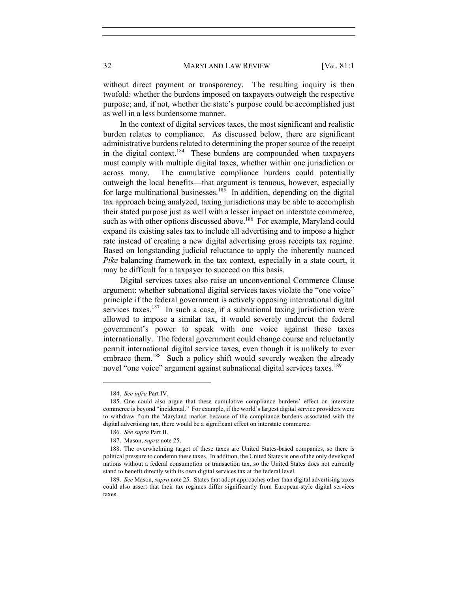without direct payment or transparency. The resulting inquiry is then twofold: whether the burdens imposed on taxpayers outweigh the respective purpose; and, if not, whether the state's purpose could be accomplished just as well in a less burdensome manner.

In the context of digital services taxes, the most significant and realistic burden relates to compliance. As discussed below, there are significant administrative burdens related to determining the proper source of the receipt in the digital context.<sup>184</sup> These burdens are compounded when taxpayers must comply with multiple digital taxes, whether within one jurisdiction or across many. The cumulative compliance burdens could potentially outweigh the local benefits—that argument is tenuous, however, especially for large multinational businesses.<sup>185</sup> In addition, depending on the digital tax approach being analyzed, taxing jurisdictions may be able to accomplish their stated purpose just as well with a lesser impact on interstate commerce, such as with other options discussed above.<sup>186</sup> For example, Maryland could expand its existing sales tax to include all advertising and to impose a higher rate instead of creating a new digital advertising gross receipts tax regime. Based on longstanding judicial reluctance to apply the inherently nuanced *Pike* balancing framework in the tax context, especially in a state court, it may be difficult for a taxpayer to succeed on this basis.

Digital services taxes also raise an unconventional Commerce Clause argument: whether subnational digital services taxes violate the "one voice" principle if the federal government is actively opposing international digital services taxes.<sup>187</sup> In such a case, if a subnational taxing jurisdiction were allowed to impose a similar tax, it would severely undercut the federal government's power to speak with one voice against these taxes internationally. The federal government could change course and reluctantly permit international digital service taxes, even though it is unlikely to ever embrace them.<sup>188</sup> Such a policy shift would severely weaken the already novel "one voice" argument against subnational digital services taxes.<sup>189</sup>

<sup>184.</sup> *See infra* Part IV.

<sup>185.</sup> One could also argue that these cumulative compliance burdens' effect on interstate commerce is beyond "incidental." For example, if the world's largest digital service providers were to withdraw from the Maryland market because of the compliance burdens associated with the digital advertising tax, there would be a significant effect on interstate commerce.

<sup>186.</sup> *See supra* Part II.

<sup>187.</sup> Mason, *supra* note 25.

<sup>188.</sup> The overwhelming target of these taxes are United States-based companies, so there is political pressure to condemn these taxes. In addition, the United States is one of the only developed nations without a federal consumption or transaction tax, so the United States does not currently stand to benefit directly with its own digital services tax at the federal level.

<sup>189.</sup> *See* Mason, *supra* note 25. States that adopt approaches other than digital advertising taxes could also assert that their tax regimes differ significantly from European-style digital services taxes.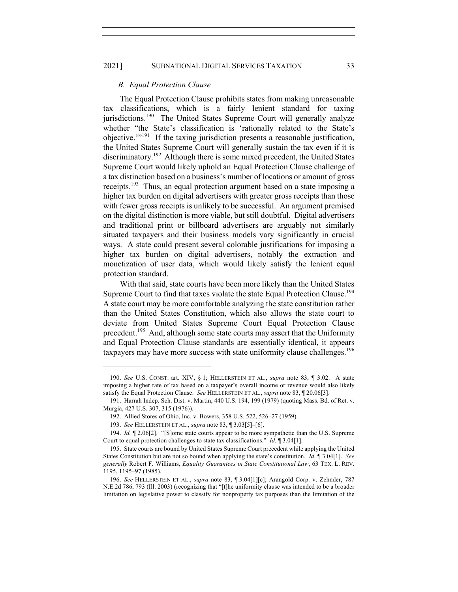# 2021] SUBNATIONAL DIGITAL SERVICES TAXATION 33

#### *B. Equal Protection Clause*

The Equal Protection Clause prohibits states from making unreasonable tax classifications, which is a fairly lenient standard for taxing jurisdictions.<sup>190</sup> The United States Supreme Court will generally analyze whether "the State's classification is 'rationally related to the State's objective.'"191 If the taxing jurisdiction presents a reasonable justification, the United States Supreme Court will generally sustain the tax even if it is discriminatory.192 Although there is some mixed precedent, the United States Supreme Court would likely uphold an Equal Protection Clause challenge of a tax distinction based on a business's number of locations or amount of gross receipts.<sup>193</sup> Thus, an equal protection argument based on a state imposing a higher tax burden on digital advertisers with greater gross receipts than those with fewer gross receipts is unlikely to be successful. An argument premised on the digital distinction is more viable, but still doubtful. Digital advertisers and traditional print or billboard advertisers are arguably not similarly situated taxpayers and their business models vary significantly in crucial ways. A state could present several colorable justifications for imposing a higher tax burden on digital advertisers, notably the extraction and monetization of user data, which would likely satisfy the lenient equal protection standard.

With that said, state courts have been more likely than the United States Supreme Court to find that taxes violate the state Equal Protection Clause.<sup>194</sup> A state court may be more comfortable analyzing the state constitution rather than the United States Constitution, which also allows the state court to deviate from United States Supreme Court Equal Protection Clause precedent.<sup>195</sup> And, although some state courts may assert that the Uniformity and Equal Protection Clause standards are essentially identical, it appears taxpayers may have more success with state uniformity clause challenges.<sup>196</sup>

<sup>190.</sup> *See* U.S. CONST. art. XIV, § 1; HELLERSTEIN ET AL., *supra* note 83, ¶ 3.02. A state imposing a higher rate of tax based on a taxpayer's overall income or revenue would also likely satisfy the Equal Protection Clause. *See* HELLERSTEIN ET AL., *supra* note 83, ¶ 20.06[3].

<sup>191.</sup> Harrah Indep. Sch. Dist. v. Martin, 440 U.S. 194, 199 (1979) (quoting Mass. Bd. of Ret. v. Murgia, 427 U.S. 307, 315 (1976)).

<sup>192.</sup> Allied Stores of Ohio, Inc. v. Bowers, 358 U.S. 522, 526–27 (1959).

<sup>193.</sup> *See* HELLERSTEIN ET AL., *supra* note 83, ¶ 3.03[5]–[6].

<sup>194.</sup> *Id.* ¶ 2.06[2]. "[S]ome state courts appear to be more sympathetic than the U.S. Supreme Court to equal protection challenges to state tax classifications." *Id.* ¶ 3.04[1].

<sup>195.</sup> State courts are bound by United States Supreme Court precedent while applying the United States Constitution but are not so bound when applying the state's constitution. *Id.* ¶ 3.04[1]. *See generally* Robert F. Williams, *Equality Guarantees in State Constitutional Law*, 63 TEX. L. REV. 1195, 1195–97 (1985).

<sup>196.</sup> *See* HELLERSTEIN ET AL., *supra* note 83, ¶ 3.04[1][c]; Arangold Corp. v. Zehnder, 787 N.E.2d 786, 793 (Ill. 2003) (recognizing that "[t]he uniformity clause was intended to be a broader limitation on legislative power to classify for nonproperty tax purposes than the limitation of the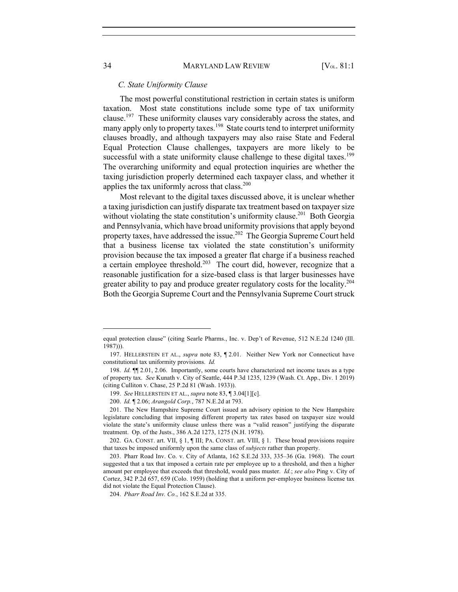#### *C. State Uniformity Clause*

The most powerful constitutional restriction in certain states is uniform taxation. Most state constitutions include some type of tax uniformity clause.<sup>197</sup> These uniformity clauses vary considerably across the states, and many apply only to property taxes.<sup>198</sup> State courts tend to interpret uniformity clauses broadly, and although taxpayers may also raise State and Federal Equal Protection Clause challenges, taxpayers are more likely to be successful with a state uniformity clause challenge to these digital taxes.<sup>199</sup> The overarching uniformity and equal protection inquiries are whether the taxing jurisdiction properly determined each taxpayer class, and whether it applies the tax uniformly across that class.<sup>200</sup>

Most relevant to the digital taxes discussed above, it is unclear whether a taxing jurisdiction can justify disparate tax treatment based on taxpayer size without violating the state constitution's uniformity clause.<sup>201</sup> Both Georgia and Pennsylvania, which have broad uniformity provisions that apply beyond property taxes, have addressed the issue.<sup>202</sup> The Georgia Supreme Court held that a business license tax violated the state constitution's uniformity provision because the tax imposed a greater flat charge if a business reached a certain employee threshold.<sup>203</sup> The court did, however, recognize that a reasonable justification for a size-based class is that larger businesses have greater ability to pay and produce greater regulatory costs for the locality.<sup>204</sup> Both the Georgia Supreme Court and the Pennsylvania Supreme Court struck

equal protection clause" (citing Searle Pharms., Inc. v. Dep't of Revenue, 512 N.E.2d 1240 (Ill. 1987))).

<sup>197.</sup> HELLERSTEIN ET AL., *supra* note 83, ¶ 2.01. Neither New York nor Connecticut have constitutional tax uniformity provisions. *Id.*

<sup>198.</sup> *Id.* ¶¶ 2.01, 2.06. Importantly, some courts have characterized net income taxes as a type of property tax. *See* Kunath v. City of Seattle, 444 P.3d 1235, 1239 (Wash. Ct. App., Div. 1 2019) (citing Culliton v. Chase, 25 P.2d 81 (Wash. 1933)).

<sup>199.</sup> *See* HELLERSTEIN ET AL., *supra* note 83, ¶ 3.04[1][c].

<sup>200.</sup> *Id.* ¶ 2.06; *Arangold Corp.*, 787 N.E.2d at 793.

<sup>201.</sup> The New Hampshire Supreme Court issued an advisory opinion to the New Hampshire legislature concluding that imposing different property tax rates based on taxpayer size would violate the state's uniformity clause unless there was a "valid reason" justifying the disparate treatment. Op. of the Justs., 386 A.2d 1273, 1275 (N.H. 1978).

<sup>202.</sup> GA. CONST. art. VII, § 1, ¶ III; PA. CONST. art. VIII, § 1. These broad provisions require that taxes be imposed uniformly upon the same class of *subjects* rather than property.

<sup>203.</sup> Pharr Road Inv. Co. v. City of Atlanta, 162 S.E.2d 333, 335–36 (Ga. 1968). The court suggested that a tax that imposed a certain rate per employee up to a threshold, and then a higher amount per employee that exceeds that threshold, would pass muster. *Id.*; *see also* Ping v. City of Cortez, 342 P.2d 657, 659 (Colo. 1959) (holding that a uniform per-employee business license tax did not violate the Equal Protection Clause).

<sup>204.</sup> *Pharr Road Inv. Co.*, 162 S.E.2d at 335.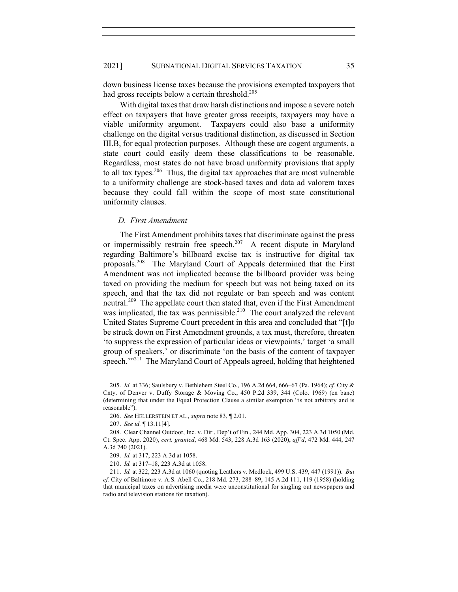down business license taxes because the provisions exempted taxpayers that had gross receipts below a certain threshold.<sup>205</sup>

With digital taxes that draw harsh distinctions and impose a severe notch effect on taxpayers that have greater gross receipts, taxpayers may have a viable uniformity argument. Taxpayers could also base a uniformity challenge on the digital versus traditional distinction, as discussed in Section III.B, for equal protection purposes. Although these are cogent arguments, a state court could easily deem these classifications to be reasonable. Regardless, most states do not have broad uniformity provisions that apply to all tax types.<sup>206</sup> Thus, the digital tax approaches that are most vulnerable to a uniformity challenge are stock-based taxes and data ad valorem taxes because they could fall within the scope of most state constitutional uniformity clauses.

#### *D. First Amendment*

The First Amendment prohibits taxes that discriminate against the press or impermissibly restrain free speech.<sup>207</sup> A recent dispute in Maryland regarding Baltimore's billboard excise tax is instructive for digital tax proposals.208 The Maryland Court of Appeals determined that the First Amendment was not implicated because the billboard provider was being taxed on providing the medium for speech but was not being taxed on its speech, and that the tax did not regulate or ban speech and was content neutral.<sup>209</sup> The appellate court then stated that, even if the First Amendment was implicated, the tax was permissible.<sup>210</sup> The court analyzed the relevant United States Supreme Court precedent in this area and concluded that "[t]o be struck down on First Amendment grounds, a tax must, therefore, threaten 'to suppress the expression of particular ideas or viewpoints,' target 'a small group of speakers,' or discriminate 'on the basis of the content of taxpayer speech."<sup>211</sup> The Maryland Court of Appeals agreed, holding that heightened

<sup>205.</sup> *Id.* at 336; Saulsbury v. Bethlehem Steel Co., 196 A.2d 664, 666–67 (Pa. 1964); *cf.* City & Cnty. of Denver v. Duffy Storage & Moving Co., 450 P.2d 339, 344 (Colo. 1969) (en banc) (determining that under the Equal Protection Clause a similar exemption "is not arbitrary and is reasonable").

<sup>206.</sup> *See* HELLERSTEIN ET AL., *supra* note 83, ¶ 2.01.

<sup>207.</sup> *See id.* ¶ 13.11[4].

<sup>208.</sup> Clear Channel Outdoor, Inc. v. Dir., Dep't of Fin., 244 Md. App. 304, 223 A.3d 1050 (Md. Ct. Spec. App. 2020), *cert. granted*, 468 Md. 543, 228 A.3d 163 (2020), *aff'd*, 472 Md. 444, 247 A.3d 740 (2021).

<sup>209.</sup> *Id.* at 317, 223 A.3d at 1058.

<sup>210.</sup> *Id.* at 317–18, 223 A.3d at 1058.

<sup>211.</sup> *Id.* at 322, 223 A.3d at 1060 (quoting Leathers v. Medlock, 499 U.S. 439, 447 (1991)). *But cf.* City of Baltimore v. A.S. Abell Co., 218 Md. 273, 288–89, 145 A.2d 111, 119 (1958) (holding that municipal taxes on advertising media were unconstitutional for singling out newspapers and radio and television stations for taxation).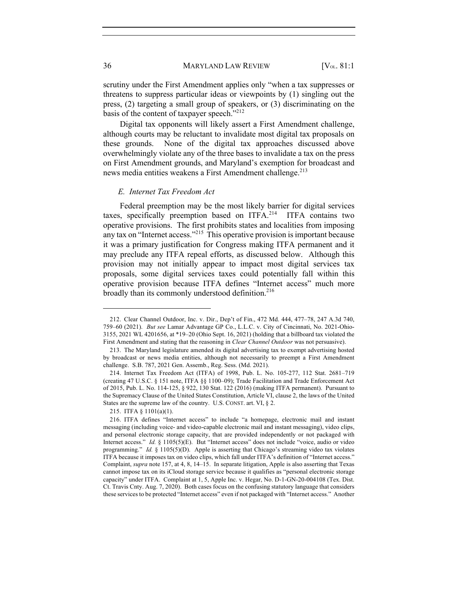scrutiny under the First Amendment applies only "when a tax suppresses or threatens to suppress particular ideas or viewpoints by (1) singling out the press, (2) targeting a small group of speakers, or (3) discriminating on the basis of the content of taxpayer speech." $2^{12}$ 

Digital tax opponents will likely assert a First Amendment challenge, although courts may be reluctant to invalidate most digital tax proposals on these grounds. None of the digital tax approaches discussed above overwhelmingly violate any of the three bases to invalidate a tax on the press on First Amendment grounds, and Maryland's exemption for broadcast and news media entities weakens a First Amendment challenge.<sup>213</sup>

## *E. Internet Tax Freedom Act*

Federal preemption may be the most likely barrier for digital services taxes, specifically preemption based on ITFA.<sup>214</sup> ITFA contains two operative provisions. The first prohibits states and localities from imposing any tax on "Internet access."<sup>215</sup> This operative provision is important because it was a primary justification for Congress making ITFA permanent and it may preclude any ITFA repeal efforts, as discussed below. Although this provision may not initially appear to impact most digital services tax proposals, some digital services taxes could potentially fall within this operative provision because ITFA defines "Internet access" much more broadly than its commonly understood definition.<sup>216</sup>

<sup>212.</sup> Clear Channel Outdoor, Inc. v. Dir., Dep't of Fin., 472 Md. 444, 477–78, 247 A.3d 740, 759–60 (2021). *But see* Lamar Advantage GP Co., L.L.C. v. City of Cincinnati, No. 2021-Ohio-3155, 2021 WL 4201656, at \*19–20 (Ohio Sept. 16, 2021) (holding that a billboard tax violated the First Amendment and stating that the reasoning in *Clear Channel Outdoor* was not persuasive).

<sup>213.</sup> The Maryland legislature amended its digital advertising tax to exempt advertising hosted by broadcast or news media entities, although not necessarily to preempt a First Amendment challenge. S.B. 787, 2021 Gen. Assemb., Reg. Sess. (Md. 2021).

<sup>214.</sup> Internet Tax Freedom Act (ITFA) of 1998, Pub. L. No. 105-277, 112 Stat. 2681–719 (creating 47 U.S.C. § 151 note, ITFA §§ 1100–09); Trade Facilitation and Trade Enforcement Act of 2015, Pub. L. No. 114-125, § 922, 130 Stat. 122 (2016) (making ITFA permanent). Pursuant to the Supremacy Clause of the United States Constitution, Article VI, clause 2, the laws of the United States are the supreme law of the country. U.S. CONST. art. VI, § 2.

<sup>215.</sup> ITFA § 1101(a)(1).

<sup>216.</sup> ITFA defines "Internet access" to include "a homepage, electronic mail and instant messaging (including voice- and video-capable electronic mail and instant messaging), video clips, and personal electronic storage capacity, that are provided independently or not packaged with Internet access." *Id.* § 1105(5)(E). But "Internet access" does not include "voice, audio or video programming." *Id.* § 1105(5)(D). Apple is asserting that Chicago's streaming video tax violates ITFA because it imposes tax on video clips, which fall under ITFA's definition of "Internet access." Complaint, *supra* note 157, at 4, 8, 14–15. In separate litigation, Apple is also asserting that Texas cannot impose tax on its iCloud storage service because it qualifies as "personal electronic storage capacity" under ITFA. Complaint at 1, 5, Apple Inc. v. Hegar, No. D-1-GN-20-004108 (Tex. Dist. Ct. Travis Cnty. Aug. 7, 2020). Both cases focus on the confusing statutory language that considers these services to be protected "Internet access" even if not packaged with "Internet access." Another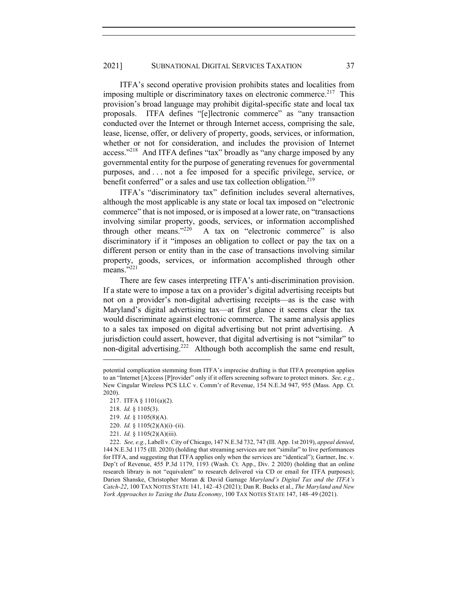ITFA's second operative provision prohibits states and localities from imposing multiple or discriminatory taxes on electronic commerce.<sup>217</sup> This provision's broad language may prohibit digital-specific state and local tax proposals. ITFA defines "[e]lectronic commerce" as "any transaction conducted over the Internet or through Internet access, comprising the sale, lease, license, offer, or delivery of property, goods, services, or information, whether or not for consideration, and includes the provision of Internet access."<sup>218</sup> And ITFA defines "tax" broadly as "any charge imposed by any governmental entity for the purpose of generating revenues for governmental purposes, and . . . not a fee imposed for a specific privilege, service, or benefit conferred" or a sales and use tax collection obligation.<sup>219</sup>

ITFA's "discriminatory tax" definition includes several alternatives, although the most applicable is any state or local tax imposed on "electronic commerce" that is not imposed, or is imposed at a lower rate, on "transactions involving similar property, goods, services, or information accomplished through other means."<sup>220</sup> A tax on "electronic commerce" is also A tax on "electronic commerce" is also discriminatory if it "imposes an obligation to collect or pay the tax on a different person or entity than in the case of transactions involving similar property, goods, services, or information accomplished through other means."<sup>221</sup>

There are few cases interpreting ITFA's anti-discrimination provision. If a state were to impose a tax on a provider's digital advertising receipts but not on a provider's non-digital advertising receipts—as is the case with Maryland's digital advertising tax—at first glance it seems clear the tax would discriminate against electronic commerce. The same analysis applies to a sales tax imposed on digital advertising but not print advertising. A jurisdiction could assert, however, that digital advertising is not "similar" to non-digital advertising.<sup>222</sup> Although both accomplish the same end result,

221. *Id.* § 1105(2)(A)(iii).

potential complication stemming from ITFA's imprecise drafting is that ITFA preemption applies to an "Internet [A]ccess [P]rovider" only if it offers screening software to protect minors. *See, e.g.*, New Cingular Wireless PCS LLC v. Comm'r of Revenue, 154 N.E.3d 947, 955 (Mass. App. Ct. 2020).

<sup>217.</sup> ITFA § 1101(a)(2).

<sup>218.</sup> *Id.* § 1105(3).

<sup>219.</sup> *Id.* § 1105(8)(A).

<sup>220.</sup> *Id.* § 1105(2)(A)(i)–(ii).

<sup>222.</sup> *See, e.g.*, Labell v. City of Chicago, 147 N.E.3d 732, 747 (Ill. App. 1st 2019), *appeal denied*, 144 N.E.3d 1175 (Ill. 2020) (holding that streaming services are not "similar" to live performances for ITFA, and suggesting that ITFA applies only when the services are "identical"); Gartner, Inc. v. Dep't of Revenue, 455 P.3d 1179, 1193 (Wash. Ct. App., Div. 2 2020) (holding that an online research library is not "equivalent" to research delivered via CD or email for ITFA purposes); Darien Shanske, Christopher Moran & David Gamage *Maryland's Digital Tax and the ITFA's Catch-22*, 100 TAX NOTES STATE 141, 142–43 (2021); Dan R. Bucks et al., *The Maryland and New York Approaches to Taxing the Data Economy*, 100 TAX NOTES STATE 147, 148–49 (2021).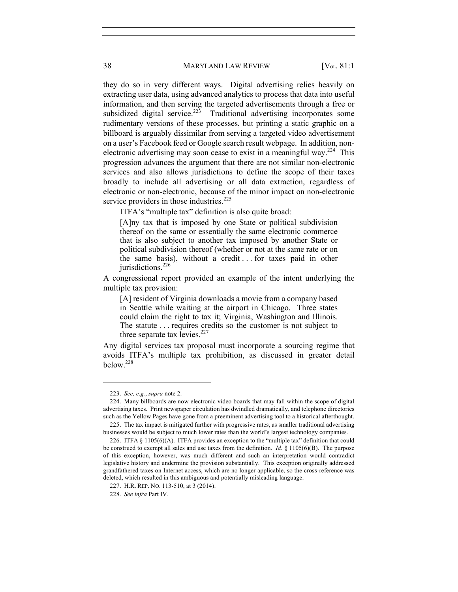they do so in very different ways. Digital advertising relies heavily on extracting user data, using advanced analytics to process that data into useful information, and then serving the targeted advertisements through a free or subsidized digital service.<sup>223</sup> Traditional advertising incorporates some rudimentary versions of these processes, but printing a static graphic on a billboard is arguably dissimilar from serving a targeted video advertisement on a user's Facebook feed or Google search result webpage. In addition, nonelectronic advertising may soon cease to exist in a meaningful way.<sup>224</sup> This progression advances the argument that there are not similar non-electronic services and also allows jurisdictions to define the scope of their taxes broadly to include all advertising or all data extraction, regardless of electronic or non-electronic, because of the minor impact on non-electronic service providers in those industries.<sup>225</sup>

ITFA's "multiple tax" definition is also quite broad:

[A]ny tax that is imposed by one State or political subdivision thereof on the same or essentially the same electronic commerce that is also subject to another tax imposed by another State or political subdivision thereof (whether or not at the same rate or on the same basis), without a credit . . . for taxes paid in other jurisdictions.<sup>226</sup>

A congressional report provided an example of the intent underlying the multiple tax provision:

[A] resident of Virginia downloads a movie from a company based in Seattle while waiting at the airport in Chicago. Three states could claim the right to tax it; Virginia, Washington and Illinois. The statute . . . requires credits so the customer is not subject to three separate tax levies. $227$ 

Any digital services tax proposal must incorporate a sourcing regime that avoids ITFA's multiple tax prohibition, as discussed in greater detail below.228

<sup>223.</sup> *See, e.g.*, *supra* note 2.

<sup>224.</sup> Many billboards are now electronic video boards that may fall within the scope of digital advertising taxes. Print newspaper circulation has dwindled dramatically, and telephone directories such as the Yellow Pages have gone from a preeminent advertising tool to a historical afterthought.

<sup>225.</sup> The tax impact is mitigated further with progressive rates, as smaller traditional advertising businesses would be subject to much lower rates than the world's largest technology companies.

<sup>226.</sup> ITFA § 1105(6)(A). ITFA provides an exception to the "multiple tax" definition that could be construed to exempt all sales and use taxes from the definition. *Id.* § 1105(6)(B). The purpose of this exception, however, was much different and such an interpretation would contradict legislative history and undermine the provision substantially. This exception originally addressed grandfathered taxes on Internet access, which are no longer applicable, so the cross-reference was deleted, which resulted in this ambiguous and potentially misleading language.

<sup>227.</sup> H.R. REP. NO. 113-510, at 3 (2014).

<sup>228.</sup> *See infra* Part IV.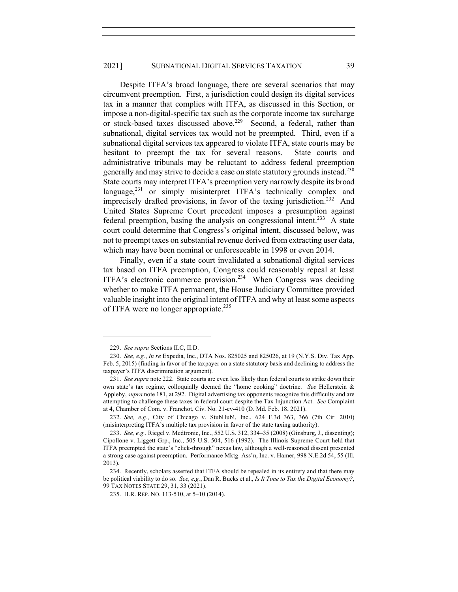Despite ITFA's broad language, there are several scenarios that may circumvent preemption. First, a jurisdiction could design its digital services tax in a manner that complies with ITFA, as discussed in this Section, or impose a non-digital-specific tax such as the corporate income tax surcharge or stock-based taxes discussed above.<sup>229</sup> Second, a federal, rather than subnational, digital services tax would not be preempted. Third, even if a subnational digital services tax appeared to violate ITFA, state courts may be hesitant to preempt the tax for several reasons. State courts and administrative tribunals may be reluctant to address federal preemption generally and may strive to decide a case on state statutory grounds instead.<sup>230</sup> State courts may interpret ITFA's preemption very narrowly despite its broad language,<sup>231</sup> or simply misinterpret ITFA's technically complex and imprecisely drafted provisions, in favor of the taxing jurisdiction.<sup>232</sup> And United States Supreme Court precedent imposes a presumption against federal preemption, basing the analysis on congressional intent.<sup>233</sup> A state court could determine that Congress's original intent, discussed below, was not to preempt taxes on substantial revenue derived from extracting user data, which may have been nominal or unforeseeable in 1998 or even 2014.

Finally, even if a state court invalidated a subnational digital services tax based on ITFA preemption, Congress could reasonably repeal at least ITFA's electronic commerce provision.<sup>234</sup> When Congress was deciding whether to make ITFA permanent, the House Judiciary Committee provided valuable insight into the original intent of ITFA and why at least some aspects of ITFA were no longer appropriate.<sup>235</sup>

<sup>229.</sup> *See supra* Sections II.C, II.D.

<sup>230.</sup> *See, e.g.*, *In re* Expedia, Inc., DTA Nos. 825025 and 825026, at 19 (N.Y.S. Div. Tax App. Feb. 5, 2015) (finding in favor of the taxpayer on a state statutory basis and declining to address the taxpayer's ITFA discrimination argument).

<sup>231.</sup> *See supra* note 222. State courts are even less likely than federal courts to strike down their own state's tax regime, colloquially deemed the "home cooking" doctrine. *See* Hellerstein & Appleby, *supra* note 181, at 292. Digital advertising tax opponents recognize this difficulty and are attempting to challenge these taxes in federal court despite the Tax Injunction Act. *See* Complaint at 4, Chamber of Com. v. Franchot, Civ. No. 21-cv-410 (D. Md. Feb. 18, 2021).

<sup>232.</sup> *See, e.g.*, City of Chicago v. StubHub!, Inc., 624 F.3d 363, 366 (7th Cir. 2010) (misinterpreting ITFA's multiple tax provision in favor of the state taxing authority).

<sup>233.</sup> *See, e.g.*, Riegel v. Medtronic, Inc., 552 U.S. 312, 334–35 (2008) (Ginsburg, J., dissenting); Cipollone v. Liggett Grp., Inc., 505 U.S. 504, 516 (1992). The Illinois Supreme Court held that ITFA preempted the state's "click-through" nexus law, although a well-reasoned dissent presented a strong case against preemption. Performance Mktg. Ass'n, Inc. v. Hamer, 998 N.E.2d 54, 55 (Ill. 2013).

<sup>234.</sup> Recently, scholars asserted that ITFA should be repealed in its entirety and that there may be political viability to do so. *See, e.g.*, Dan R. Bucks et al., *Is It Time to Tax the Digital Economy?*, 99 TAX NOTES STATE 29, 31, 33 (2021).

<sup>235.</sup> H.R. REP. NO. 113-510, at 5–10 (2014).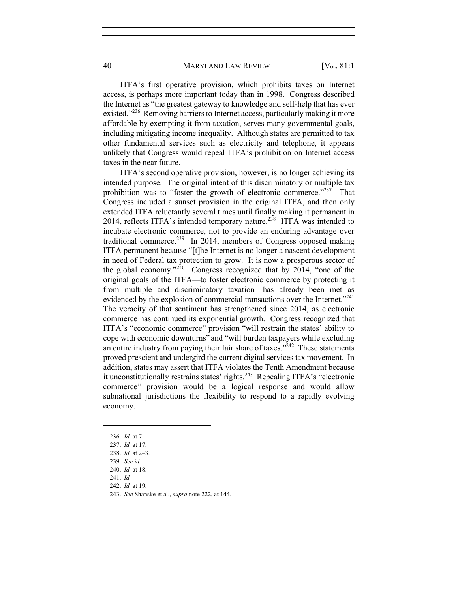ITFA's first operative provision, which prohibits taxes on Internet access, is perhaps more important today than in 1998. Congress described the Internet as "the greatest gateway to knowledge and self-help that has ever existed."<sup>236</sup> Removing barriers to Internet access, particularly making it more affordable by exempting it from taxation, serves many governmental goals, including mitigating income inequality. Although states are permitted to tax other fundamental services such as electricity and telephone, it appears unlikely that Congress would repeal ITFA's prohibition on Internet access taxes in the near future.

ITFA's second operative provision, however, is no longer achieving its intended purpose. The original intent of this discriminatory or multiple tax prohibition was to "foster the growth of electronic commerce."<sup>237</sup> That Congress included a sunset provision in the original ITFA, and then only extended ITFA reluctantly several times until finally making it permanent in 2014, reflects ITFA's intended temporary nature.<sup>238</sup> ITFA was intended to incubate electronic commerce, not to provide an enduring advantage over traditional commerce.<sup>239</sup> In 2014, members of Congress opposed making ITFA permanent because "[t]he Internet is no longer a nascent development in need of Federal tax protection to grow. It is now a prosperous sector of the global economy."<sup>240</sup> Congress recognized that by 2014, "one of the original goals of the ITFA—to foster electronic commerce by protecting it from multiple and discriminatory taxation—has already been met as evidenced by the explosion of commercial transactions over the Internet."<sup>241</sup> The veracity of that sentiment has strengthened since 2014, as electronic commerce has continued its exponential growth. Congress recognized that ITFA's "economic commerce" provision "will restrain the states' ability to cope with economic downturns" and "will burden taxpayers while excluding an entire industry from paying their fair share of taxes.<sup> $242$ </sup> These statements proved prescient and undergird the current digital services tax movement. In addition, states may assert that ITFA violates the Tenth Amendment because it unconstitutionally restrains states' rights.<sup>243</sup> Repealing ITFA's "electronic commerce" provision would be a logical response and would allow subnational jurisdictions the flexibility to respond to a rapidly evolving economy.

<sup>236.</sup> *Id.* at 7.

<sup>237.</sup> *Id.* at 17.

<sup>238.</sup> *Id.* at 2–3.

<sup>239.</sup> *See id.*

<sup>240.</sup> *Id.* at 18.

<sup>241.</sup> *Id.*

<sup>242.</sup> *Id.* at 19.

<sup>243.</sup> *See* Shanske et al., *supra* note 222, at 144.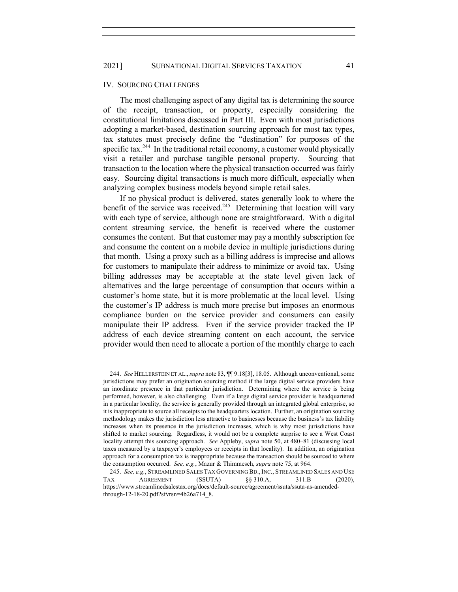#### IV. SOURCING CHALLENGES

The most challenging aspect of any digital tax is determining the source of the receipt, transaction, or property, especially considering the constitutional limitations discussed in Part III. Even with most jurisdictions adopting a market-based, destination sourcing approach for most tax types, tax statutes must precisely define the "destination" for purposes of the specific tax.<sup>244</sup> In the traditional retail economy, a customer would physically visit a retailer and purchase tangible personal property. Sourcing that transaction to the location where the physical transaction occurred was fairly easy. Sourcing digital transactions is much more difficult, especially when analyzing complex business models beyond simple retail sales.

If no physical product is delivered, states generally look to where the benefit of the service was received.<sup>245</sup> Determining that location will vary with each type of service, although none are straightforward. With a digital content streaming service, the benefit is received where the customer consumes the content. But that customer may pay a monthly subscription fee and consume the content on a mobile device in multiple jurisdictions during that month. Using a proxy such as a billing address is imprecise and allows for customers to manipulate their address to minimize or avoid tax. Using billing addresses may be acceptable at the state level given lack of alternatives and the large percentage of consumption that occurs within a customer's home state, but it is more problematic at the local level. Using the customer's IP address is much more precise but imposes an enormous compliance burden on the service provider and consumers can easily manipulate their IP address. Even if the service provider tracked the IP address of each device streaming content on each account, the service provider would then need to allocate a portion of the monthly charge to each

<sup>244.</sup> *See* HELLERSTEIN ET AL., *supra* note 83, ¶¶ 9.18[3], 18.05. Although unconventional, some jurisdictions may prefer an origination sourcing method if the large digital service providers have an inordinate presence in that particular jurisdiction. Determining where the service is being performed, however, is also challenging. Even if a large digital service provider is headquartered in a particular locality, the service is generally provided through an integrated global enterprise, so it is inappropriate to source all receipts to the headquarters location. Further, an origination sourcing methodology makes the jurisdiction less attractive to businesses because the business's tax liability increases when its presence in the jurisdiction increases, which is why most jurisdictions have shifted to market sourcing. Regardless, it would not be a complete surprise to see a West Coast locality attempt this sourcing approach. *See* Appleby, *supra* note 50, at 480–81 (discussing local taxes measured by a taxpayer's employees or receipts in that locality). In addition, an origination approach for a consumption tax is inappropriate because the transaction should be sourced to where the consumption occurred. *See, e.g.*, Mazur & Thimmesch, *supra* note 75, at 964.

<sup>245.</sup> *See, e.g.*, STREAMLINED SALES TAX GOVERNING BD.,INC., STREAMLINED SALES AND USE TAX AGREEMENT (SSUTA) §§ 310.A, 311.B (2020), https://www.streamlinedsalestax.org/docs/default-source/agreement/ssuta/ssuta-as-amendedthrough-12-18-20.pdf?sfvrsn=4b26a714\_8.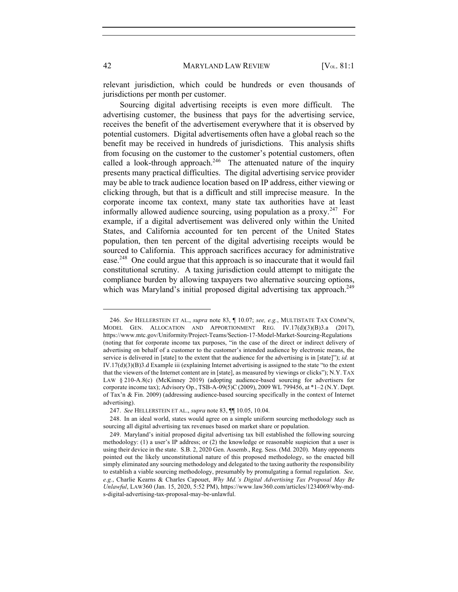relevant jurisdiction, which could be hundreds or even thousands of jurisdictions per month per customer.

Sourcing digital advertising receipts is even more difficult. The advertising customer, the business that pays for the advertising service, receives the benefit of the advertisement everywhere that it is observed by potential customers. Digital advertisements often have a global reach so the benefit may be received in hundreds of jurisdictions. This analysis shifts from focusing on the customer to the customer's potential customers, often called a look-through approach.<sup>246</sup> The attenuated nature of the inquiry presents many practical difficulties. The digital advertising service provider may be able to track audience location based on IP address, either viewing or clicking through, but that is a difficult and still imprecise measure. In the corporate income tax context, many state tax authorities have at least informally allowed audience sourcing, using population as a proxy.<sup>247</sup> For example, if a digital advertisement was delivered only within the United States, and California accounted for ten percent of the United States population, then ten percent of the digital advertising receipts would be sourced to California. This approach sacrifices accuracy for administrative ease.<sup>248</sup> One could argue that this approach is so inaccurate that it would fail constitutional scrutiny. A taxing jurisdiction could attempt to mitigate the compliance burden by allowing taxpayers two alternative sourcing options, which was Maryland's initial proposed digital advertising tax approach.<sup>249</sup>

<sup>246.</sup> *See* HELLERSTEIN ET AL., *supra* note 83, ¶ 10.07; *see, e.g.*, MULTISTATE TAX COMM'N, MODEL GEN. ALLOCATION AND APPORTIONMENT REG. IV.17(d)(3)(B)3.a (2017), https://www.mtc.gov/Uniformity/Project-Teams/Section-17-Model-Market-Sourcing-Regulations (noting that for corporate income tax purposes, "in the case of the direct or indirect delivery of advertising on behalf of a customer to the customer's intended audience by electronic means, the service is delivered in [state] to the extent that the audience for the advertising is in [state]"); *id.* at IV.17(d)(3)(B)3.d Example iii (explaining Internet advertising is assigned to the state "to the extent that the viewers of the Internet content are in [state], as measured by viewings or clicks"); N.Y. TAX LAW § 210-A.8(c) (McKinney 2019) (adopting audience-based sourcing for advertisers for corporate income tax); Advisory Op., TSB-A-09(5)C (2009), 2009 WL 799456, at \*1–2 (N.Y. Dept. of Tax'n & Fin. 2009) (addressing audience-based sourcing specifically in the context of Internet advertising).

<sup>247.</sup> *See* HELLERSTEIN ET AL., *supra* note 83, ¶¶ 10.05, 10.04.

<sup>248.</sup> In an ideal world, states would agree on a simple uniform sourcing methodology such as sourcing all digital advertising tax revenues based on market share or population.

<sup>249.</sup> Maryland's initial proposed digital advertising tax bill established the following sourcing methodology: (1) a user's IP address; or (2) the knowledge or reasonable suspicion that a user is using their device in the state. S.B. 2, 2020 Gen. Assemb., Reg. Sess. (Md. 2020). Many opponents pointed out the likely unconstitutional nature of this proposed methodology, so the enacted bill simply eliminated any sourcing methodology and delegated to the taxing authority the responsibility to establish a viable sourcing methodology, presumably by promulgating a formal regulation. *See, e.g.*, Charlie Kearns & Charles Capouet, *Why Md.'s Digital Advertising Tax Proposal May Be Unlawful*, LAW360 (Jan. 15, 2020, 5:52 PM), https://www.law360.com/articles/1234069/why-mds-digital-advertising-tax-proposal-may-be-unlawful.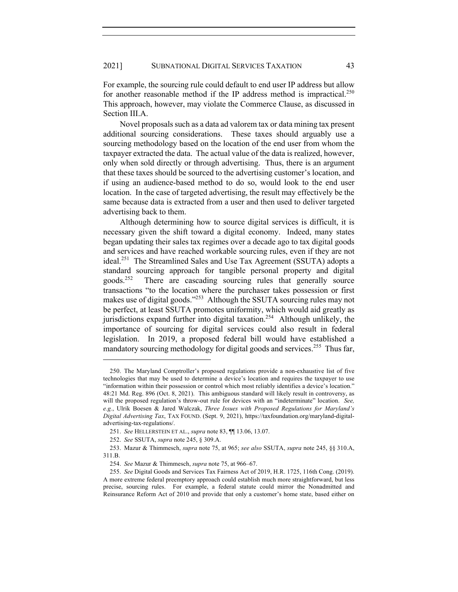For example, the sourcing rule could default to end user IP address but allow for another reasonable method if the IP address method is impractical.<sup>250</sup> This approach, however, may violate the Commerce Clause, as discussed in Section III.A.

Novel proposals such as a data ad valorem tax or data mining tax present additional sourcing considerations. These taxes should arguably use a sourcing methodology based on the location of the end user from whom the taxpayer extracted the data. The actual value of the data is realized, however, only when sold directly or through advertising. Thus, there is an argument that these taxes should be sourced to the advertising customer's location, and if using an audience-based method to do so, would look to the end user location. In the case of targeted advertising, the result may effectively be the same because data is extracted from a user and then used to deliver targeted advertising back to them.

Although determining how to source digital services is difficult, it is necessary given the shift toward a digital economy. Indeed, many states began updating their sales tax regimes over a decade ago to tax digital goods and services and have reached workable sourcing rules, even if they are not ideal.<sup>251</sup> The Streamlined Sales and Use Tax Agreement (SSUTA) adopts a standard sourcing approach for tangible personal property and digital goods.<sup>252</sup> There are cascading sourcing rules that generally source transactions "to the location where the purchaser takes possession or first makes use of digital goods."253 Although the SSUTA sourcing rules may not be perfect, at least SSUTA promotes uniformity, which would aid greatly as jurisdictions expand further into digital taxation.<sup>254</sup> Although unlikely, the importance of sourcing for digital services could also result in federal legislation. In 2019, a proposed federal bill would have established a mandatory sourcing methodology for digital goods and services.<sup>255</sup> Thus far,

<sup>250.</sup> The Maryland Comptroller's proposed regulations provide a non-exhaustive list of five technologies that may be used to determine a device's location and requires the taxpayer to use "information within their possession or control which most reliably identifies a device's location." 48:21 Md. Reg. 896 (Oct. 8, 2021). This ambiguous standard will likely result in controversy, as will the proposed regulation's throw-out rule for devices with an "indeterminate" location. *See, e.g.*, Ulrik Boesen & Jared Walczak, *Three Issues with Proposed Regulations for Maryland's Digital Advertising Tax*, TAX FOUND. (Sept. 9, 2021), https://taxfoundation.org/maryland-digitaladvertising-tax-regulations/.

<sup>251.</sup> *See* HELLERSTEIN ET AL., *supra* note 83, ¶¶ 13.06, 13.07.

<sup>252.</sup> *See* SSUTA, *supra* note 245, § 309.A.

<sup>253.</sup> Mazur & Thimmesch, *supra* note 75, at 965; *see also* SSUTA, *supra* note 245, §§ 310.A, 311.B.

<sup>254.</sup> *See* Mazur & Thimmesch, *supra* note 75, at 966–67.

<sup>255.</sup> *See* Digital Goods and Services Tax Fairness Act of 2019, H.R. 1725, 116th Cong. (2019). A more extreme federal preemptory approach could establish much more straightforward, but less precise, sourcing rules. For example, a federal statute could mirror the Nonadmitted and Reinsurance Reform Act of 2010 and provide that only a customer's home state, based either on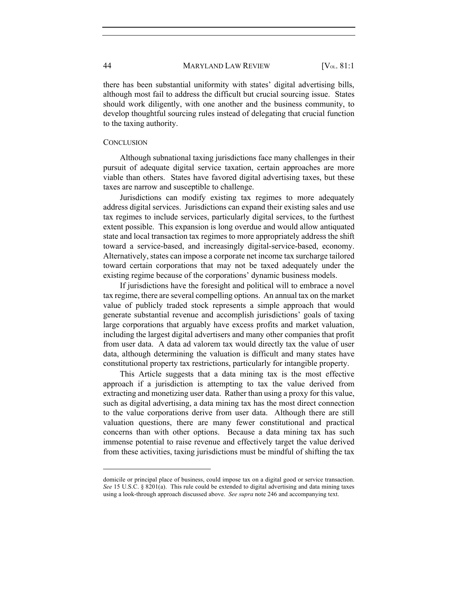there has been substantial uniformity with states' digital advertising bills, although most fail to address the difficult but crucial sourcing issue. States should work diligently, with one another and the business community, to develop thoughtful sourcing rules instead of delegating that crucial function to the taxing authority.

## **CONCLUSION**

Although subnational taxing jurisdictions face many challenges in their pursuit of adequate digital service taxation, certain approaches are more viable than others. States have favored digital advertising taxes, but these taxes are narrow and susceptible to challenge.

Jurisdictions can modify existing tax regimes to more adequately address digital services. Jurisdictions can expand their existing sales and use tax regimes to include services, particularly digital services, to the furthest extent possible. This expansion is long overdue and would allow antiquated state and local transaction tax regimes to more appropriately address the shift toward a service-based, and increasingly digital-service-based, economy. Alternatively, states can impose a corporate net income tax surcharge tailored toward certain corporations that may not be taxed adequately under the existing regime because of the corporations' dynamic business models.

If jurisdictions have the foresight and political will to embrace a novel tax regime, there are several compelling options. An annual tax on the market value of publicly traded stock represents a simple approach that would generate substantial revenue and accomplish jurisdictions' goals of taxing large corporations that arguably have excess profits and market valuation, including the largest digital advertisers and many other companies that profit from user data. A data ad valorem tax would directly tax the value of user data, although determining the valuation is difficult and many states have constitutional property tax restrictions, particularly for intangible property.

This Article suggests that a data mining tax is the most effective approach if a jurisdiction is attempting to tax the value derived from extracting and monetizing user data. Rather than using a proxy for this value, such as digital advertising, a data mining tax has the most direct connection to the value corporations derive from user data. Although there are still valuation questions, there are many fewer constitutional and practical concerns than with other options. Because a data mining tax has such immense potential to raise revenue and effectively target the value derived from these activities, taxing jurisdictions must be mindful of shifting the tax

domicile or principal place of business, could impose tax on a digital good or service transaction. *See* 15 U.S.C. § 8201(a). This rule could be extended to digital advertising and data mining taxes using a look-through approach discussed above. *See supra* note 246 and accompanying text.